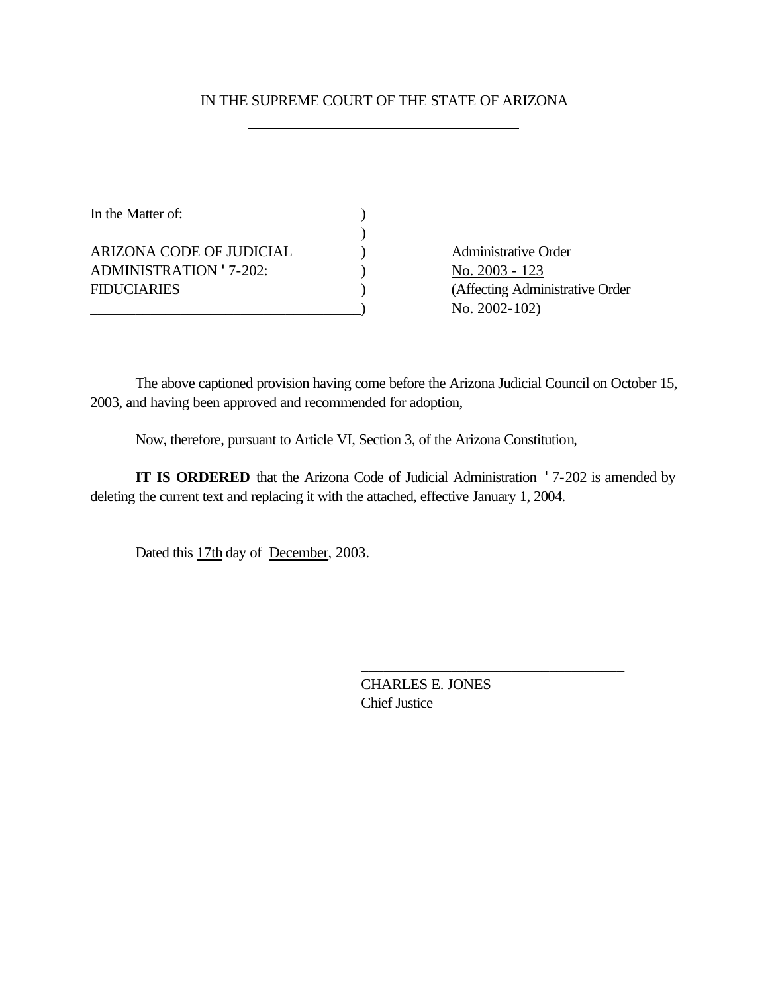### IN THE SUPREME COURT OF THE STATE OF ARIZONA

| In the Matter of:        |  |
|--------------------------|--|
|                          |  |
| ARIZONA CODE OF JUDICIAL |  |
| ADMINISTRATION '7-202:   |  |
| <b>FIDUCIARIES</b>       |  |
|                          |  |

Administrative Order No. 2003 - 123 (Affecting Administrative Order No. 2002-102)

The above captioned provision having come before the Arizona Judicial Council on October 15, 2003, and having been approved and recommended for adoption,

Now, therefore, pursuant to Article VI, Section 3, of the Arizona Constitution,

**IT IS ORDERED** that the Arizona Code of Judicial Administration '7-202 is amended by deleting the current text and replacing it with the attached, effective January 1, 2004.

Dated this 17th day of December, 2003.

CHARLES E. JONES Chief Justice

\_\_\_\_\_\_\_\_\_\_\_\_\_\_\_\_\_\_\_\_\_\_\_\_\_\_\_\_\_\_\_\_\_\_\_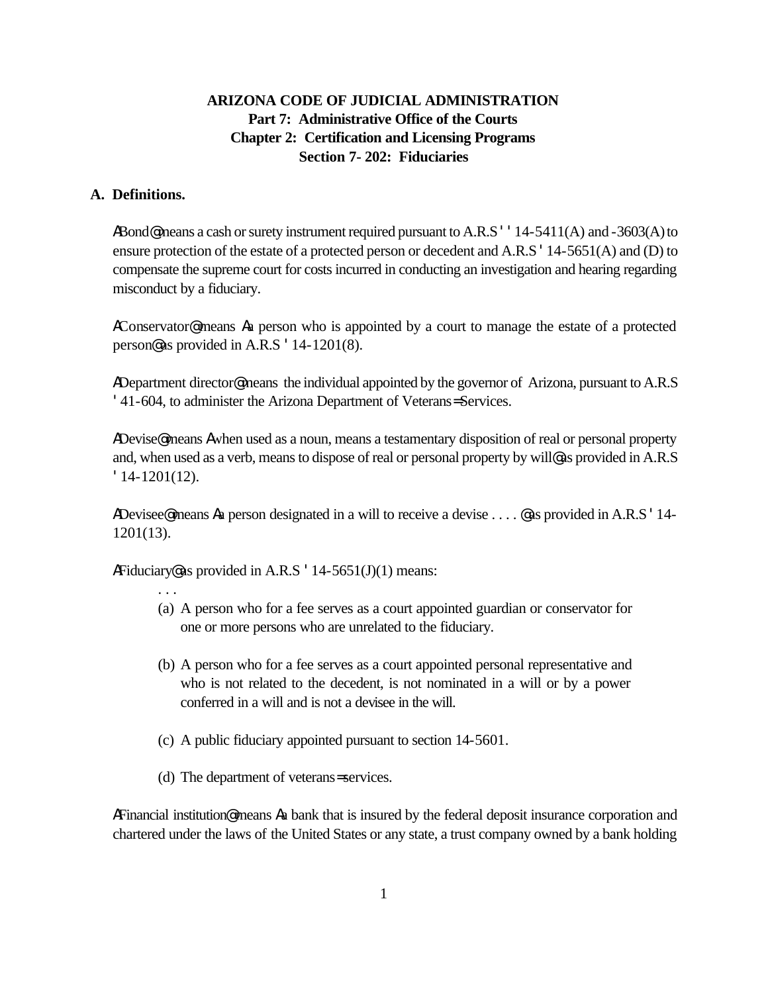# **ARIZONA CODE OF JUDICIAL ADMINISTRATION Part 7: Administrative Office of the Courts Chapter 2: Certification and Licensing Programs Section 7- 202: Fiduciaries**

### **A. Definitions.**

ABond@means a cash or surety instrument required pursuant to A.R.S ' '14-5411(A) and -3603(A) to ensure protection of the estate of a protected person or decedent and A.R.S '14-5651(A) and (D) to compensate the supreme court for costs incurred in conducting an investigation and hearing regarding misconduct by a fiduciary.

AConservator@ means Aa person who is appointed by a court to manage the estate of a protected person@ as provided in A.R.S '14-1201(8).

ADepartment director@means the individual appointed by the governor of Arizona, pursuant to A.R.S '41-604, to administer the Arizona Department of Veterans= Services.

ADevise<sup>®</sup> means Awhen used as a noun, means a testamentary disposition of real or personal property and, when used as a verb, means to dispose of real or personal property by will@ as provided in A.R.S '14-1201(12).

ADevisee<sup>®</sup> means Aa person designated in a will to receive a devise . . . . @ as provided in A.R.S '14-1201(13).

AFiduciary as provided in A.R.S  $\cdot$  14-5651(J)(1) means:

. . .

- (a) A person who for a fee serves as a court appointed guardian or conservator for one or more persons who are unrelated to the fiduciary.
- (b) A person who for a fee serves as a court appointed personal representative and who is not related to the decedent, is not nominated in a will or by a power conferred in a will and is not a devisee in the will.
- (c) A public fiduciary appointed pursuant to section 14-5601.
- (d) The department of veterans= services.

AFinancial institution@ means Aa bank that is insured by the federal deposit insurance corporation and chartered under the laws of the United States or any state, a trust company owned by a bank holding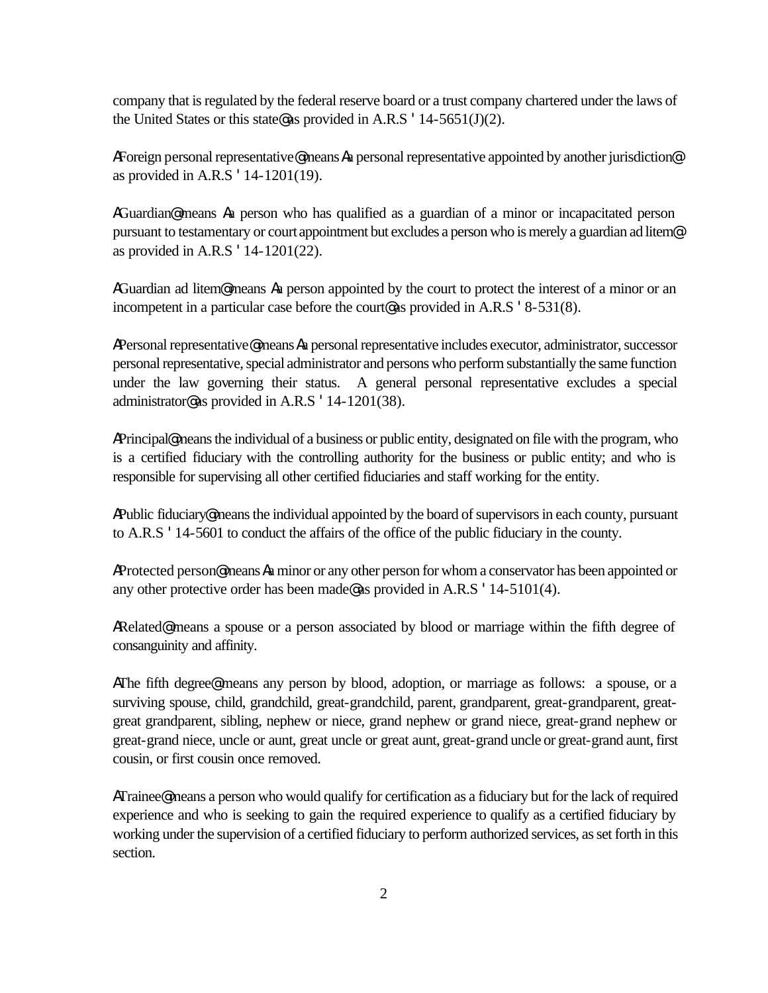company that is regulated by the federal reserve board or a trust company chartered under the laws of the United States or this state as provided in A.R.S  $\cdot$  14-5651(J)(2).

AForeign personal representative@ means Aa personal representative appointed by another jurisdiction@ as provided in A.R.S '14-1201(19).

AGuardian<sup>®</sup> means Aa person who has qualified as a guardian of a minor or incapacitated person pursuant to testamentary or court appointment but excludes a person who is merely a guardian ad litem<sup>®</sup> as provided in A.R.S '14-1201(22).

AGuardian ad litem<sup>®</sup> means Aa person appointed by the court to protect the interest of a minor or an incompetent in a particular case before the court@ as provided in A.R.S '8-531(8).

APersonal representative@ means Aa personal representative includes executor, administrator, successor personal representative, special administrator and persons who perform substantially the same function under the law governing their status. A general personal representative excludes a special administrator@ as provided in A.R.S '14-1201(38).

APrincipal@ means the individual of a business or public entity, designated on file with the program, who is a certified fiduciary with the controlling authority for the business or public entity; and who is responsible for supervising all other certified fiduciaries and staff working for the entity.

 APublic fiduciary@ means the individual appointed by the board of supervisors in each county, pursuant to A.R.S '14-5601 to conduct the affairs of the office of the public fiduciary in the county.

AProtected person@ means Aa minor or any other person for whom a conservator has been appointed or any other protective order has been made@ as provided in A.R.S '14-5101(4).

ARelated<sup>®</sup> means a spouse or a person associated by blood or marriage within the fifth degree of consanguinity and affinity.

AThe fifth degree<sup>®</sup> means any person by blood, adoption, or marriage as follows: a spouse, or a surviving spouse, child, grandchild, great-grandchild, parent, grandparent, great-grandparent, greatgreat grandparent, sibling, nephew or niece, grand nephew or grand niece, great-grand nephew or great-grand niece, uncle or aunt, great uncle or great aunt, great-grand uncle or great-grand aunt, first cousin, or first cousin once removed.

ATrainee@ means a person who would qualify for certification as a fiduciary but for the lack of required experience and who is seeking to gain the required experience to qualify as a certified fiduciary by working under the supervision of a certified fiduciary to perform authorized services, as set forth in this section.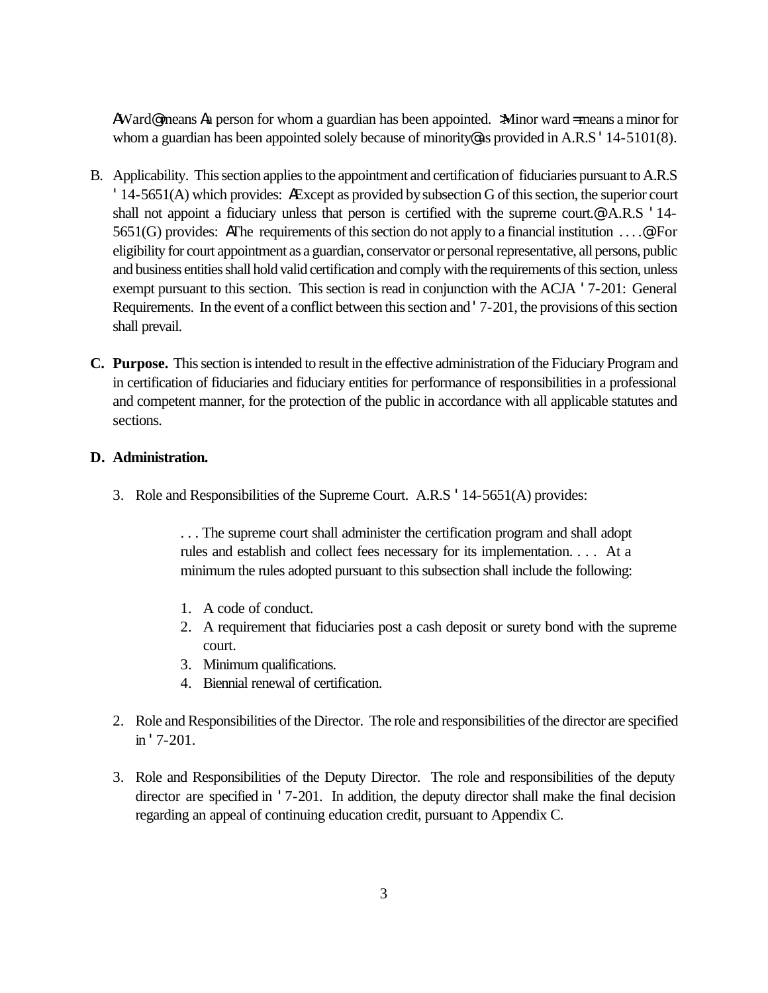AWard@ means Aa person for whom a guardian has been appointed. >Minor ward = means a minor for whom a guardian has been appointed solely because of minority as provided in A.R.S '14-5101(8).

- B. Applicability. This section applies to the appointment and certification of fiduciaries pursuant to A.R.S '14-5651(A) which provides: AExcept as provided by subsection G of this section, the superior court shall not appoint a fiduciary unless that person is certified with the supreme court.<sup>@</sup> A.R.S '14-5651(G) provides: AThe requirements of this section do not apply to a financial institution . . . .@ For eligibility for court appointment as a guardian, conservator or personal representative, all persons, public and business entities shall hold valid certification and comply with the requirements of this section, unless exempt pursuant to this section. This section is read in conjunction with the ACJA '7-201: General Requirements. In the event of a conflict between this section and '7-201, the provisions of this section shall prevail.
- **C. Purpose.** This section is intended to result in the effective administration of the Fiduciary Program and in certification of fiduciaries and fiduciary entities for performance of responsibilities in a professional and competent manner, for the protection of the public in accordance with all applicable statutes and sections.

#### **D. Administration.**

3. Role and Responsibilities of the Supreme Court. A.R.S '14-5651(A) provides:

. . . The supreme court shall administer the certification program and shall adopt rules and establish and collect fees necessary for its implementation. . . . At a minimum the rules adopted pursuant to this subsection shall include the following:

- 1. A code of conduct.
- 2. A requirement that fiduciaries post a cash deposit or surety bond with the supreme court.
- 3. Minimum qualifications.
- 4. Biennial renewal of certification.
- 2. Role and Responsibilities of the Director. The role and responsibilities of the director are specified in '7-201.
- 3. Role and Responsibilities of the Deputy Director. The role and responsibilities of the deputy director are specified in '7-201. In addition, the deputy director shall make the final decision regarding an appeal of continuing education credit, pursuant to Appendix C.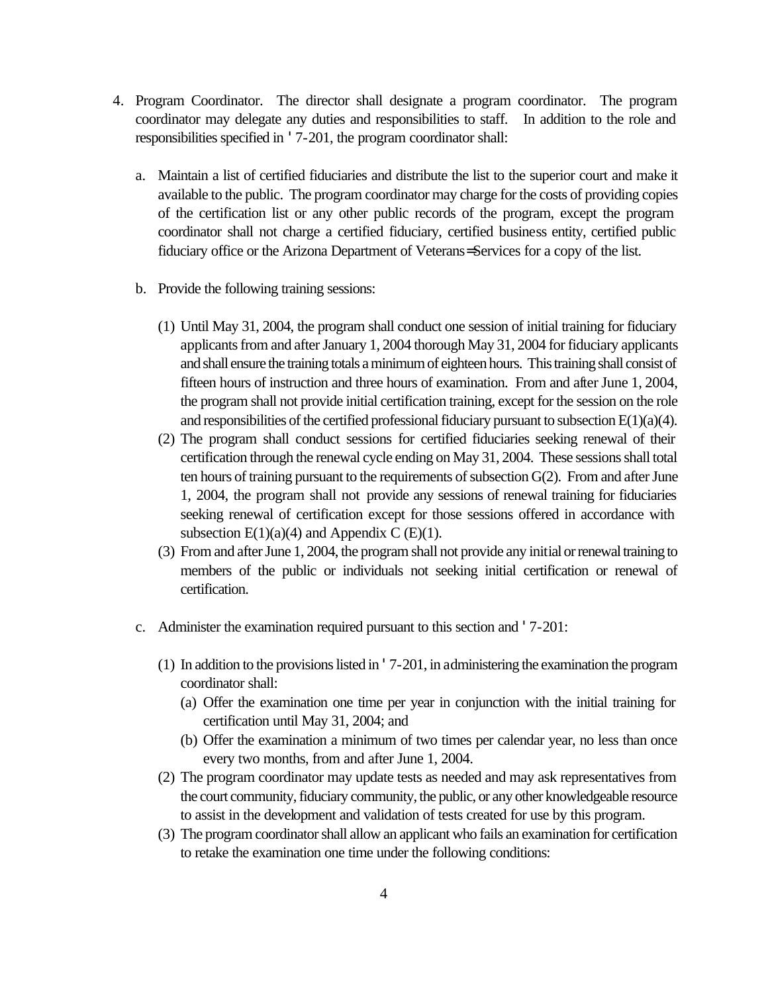- 4. Program Coordinator. The director shall designate a program coordinator. The program coordinator may delegate any duties and responsibilities to staff. In addition to the role and responsibilities specified in '7-201, the program coordinator shall:
	- a. Maintain a list of certified fiduciaries and distribute the list to the superior court and make it available to the public. The program coordinator may charge for the costs of providing copies of the certification list or any other public records of the program, except the program coordinator shall not charge a certified fiduciary, certified business entity, certified public fiduciary office or the Arizona Department of Veterans= Services for a copy of the list.
	- b. Provide the following training sessions:
		- (1) Until May 31, 2004, the program shall conduct one session of initial training for fiduciary applicants from and after January 1, 2004 thorough May 31, 2004 for fiduciary applicants and shall ensure the training totals a minimum of eighteen hours. This training shall consist of fifteen hours of instruction and three hours of examination. From and after June 1, 2004, the program shall not provide initial certification training, except for the session on the role and responsibilities of the certified professional fiduciary pursuant to subsection  $E(1)(a)(4)$ .
		- (2) The program shall conduct sessions for certified fiduciaries seeking renewal of their certification through the renewal cycle ending on May 31, 2004. These sessions shall total ten hours of training pursuant to the requirements of subsection G(2). From and after June 1, 2004, the program shall not provide any sessions of renewal training for fiduciaries seeking renewal of certification except for those sessions offered in accordance with subsection  $E(1)(a)(4)$  and Appendix C (E)(1).
		- (3) From and after June 1, 2004, the program shall not provide any initial or renewal training to members of the public or individuals not seeking initial certification or renewal of certification.
	- c. Administer the examination required pursuant to this section and '7-201:
		- (1) In addition to the provisions listed in '7-201, in administering the examination the program coordinator shall:
			- (a) Offer the examination one time per year in conjunction with the initial training for certification until May 31, 2004; and
			- (b) Offer the examination a minimum of two times per calendar year, no less than once every two months, from and after June 1, 2004.
		- (2) The program coordinator may update tests as needed and may ask representatives from the court community, fiduciary community, the public, or any other knowledgeable resource to assist in the development and validation of tests created for use by this program.
		- (3) The program coordinator shall allow an applicant who fails an examination for certification to retake the examination one time under the following conditions: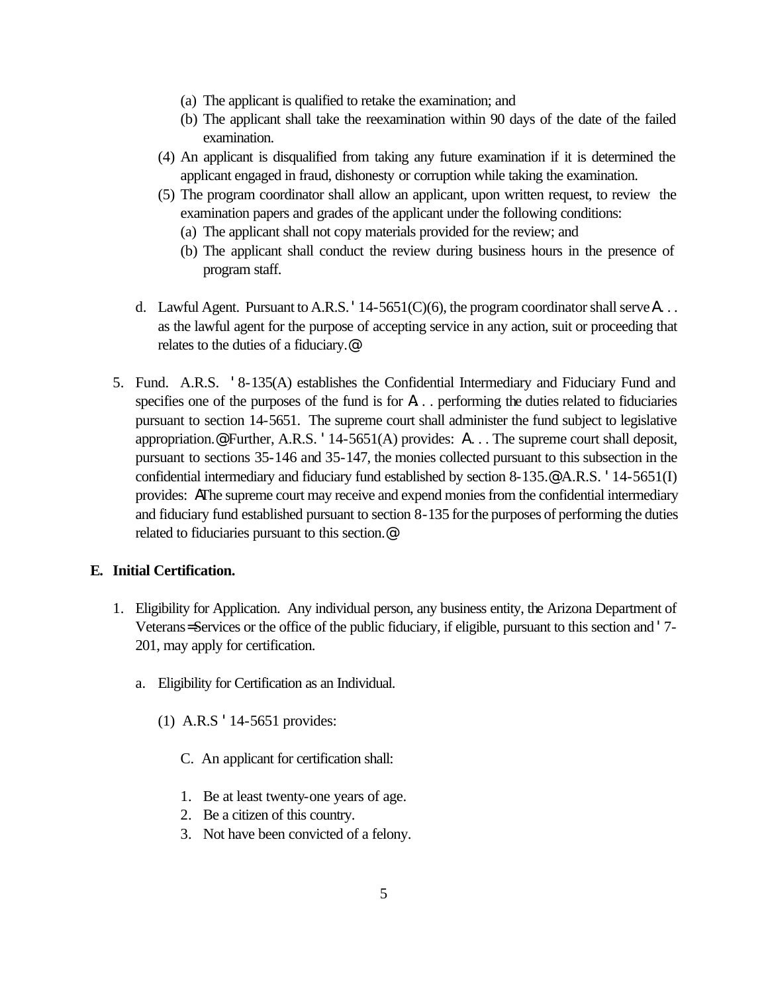- (a) The applicant is qualified to retake the examination; and
- (b) The applicant shall take the reexamination within 90 days of the date of the failed examination.
- (4) An applicant is disqualified from taking any future examination if it is determined the applicant engaged in fraud, dishonesty or corruption while taking the examination.
- (5) The program coordinator shall allow an applicant, upon written request, to review the examination papers and grades of the applicant under the following conditions:
	- (a) The applicant shall not copy materials provided for the review; and
	- (b) The applicant shall conduct the review during business hours in the presence of program staff.
- d. Lawful Agent. Pursuant to A.R.S. '14-5651(C)(6), the program coordinator shall serve A . . . as the lawful agent for the purpose of accepting service in any action, suit or proceeding that relates to the duties of a fiduciary.@
- 5. Fund. A.R.S. '8-135(A) establishes the Confidential Intermediary and Fiduciary Fund and specifies one of the purposes of the fund is for  $\Lambda$ ... performing the duties related to fiduciaries pursuant to section 14-5651. The supreme court shall administer the fund subject to legislative appropriation.  $\bullet$  Further, A.R.S. '14-5651(A) provides:  $\Lambda$ ... The supreme court shall deposit, pursuant to sections 35-146 and 35-147, the monies collected pursuant to this subsection in the confidential intermediary and fiduciary fund established by section 8-135.@ A.R.S. '14-5651(I) provides: AThe supreme court may receive and expend monies from the confidential intermediary and fiduciary fund established pursuant to section 8-135 for the purposes of performing the duties related to fiduciaries pursuant to this section.@

### **E. Initial Certification.**

- 1. Eligibility for Application. Any individual person, any business entity, the Arizona Department of Veterans= Services or the office of the public fiduciary, if eligible, pursuant to this section and '7- 201, may apply for certification.
	- a. Eligibility for Certification as an Individual.
		- (1) A.R.S '14-5651 provides:
			- C. An applicant for certification shall:
			- 1. Be at least twenty-one years of age.
			- 2. Be a citizen of this country.
			- 3. Not have been convicted of a felony.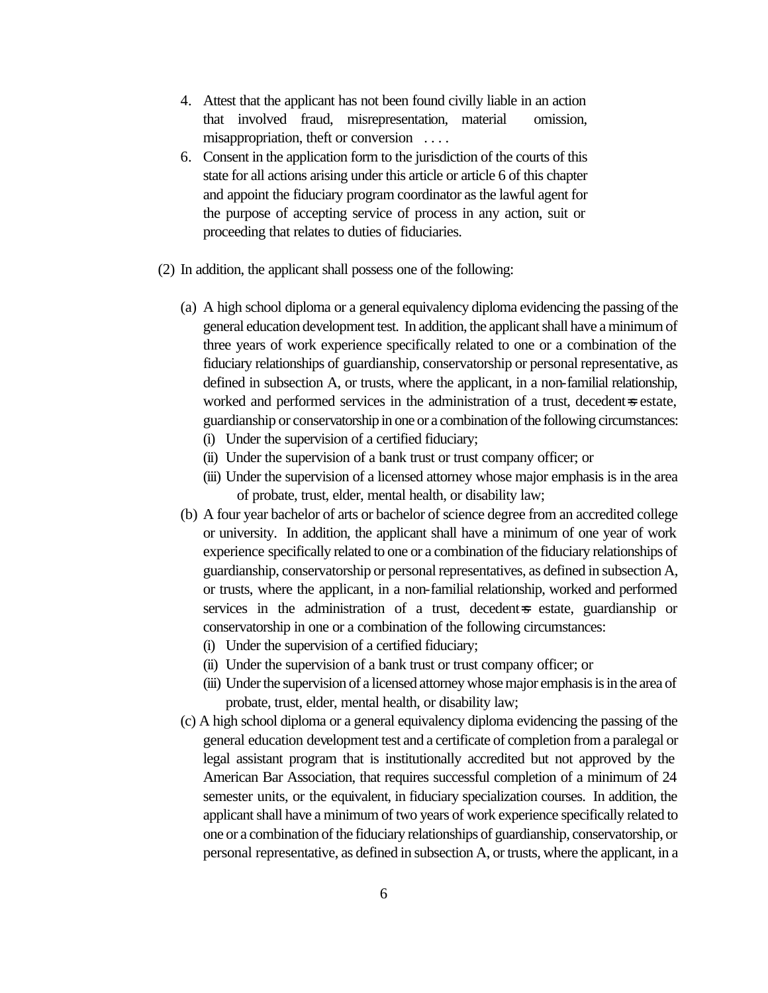- 4. Attest that the applicant has not been found civilly liable in an action that involved fraud, misrepresentation, material omission, misappropriation, theft or conversion . . . .
- 6. Consent in the application form to the jurisdiction of the courts of this state for all actions arising under this article or article 6 of this chapter and appoint the fiduciary program coordinator as the lawful agent for the purpose of accepting service of process in any action, suit or proceeding that relates to duties of fiduciaries.
- (2) In addition, the applicant shall possess one of the following:
	- (a) A high school diploma or a general equivalency diploma evidencing the passing of the general education development test. In addition, the applicant shall have a minimum of three years of work experience specifically related to one or a combination of the fiduciary relationships of guardianship, conservatorship or personal representative, as defined in subsection A, or trusts, where the applicant, in a non-familial relationship, worked and performed services in the administration of a trust, decedent=s estate, guardianship or conservatorship in one or a combination of the following circumstances:
		- (i) Under the supervision of a certified fiduciary;
		- (ii) Under the supervision of a bank trust or trust company officer; or
		- (iii) Under the supervision of a licensed attorney whose major emphasis is in the area of probate, trust, elder, mental health, or disability law;
	- (b) A four year bachelor of arts or bachelor of science degree from an accredited college or university. In addition, the applicant shall have a minimum of one year of work experience specifically related to one or a combination of the fiduciary relationships of guardianship, conservatorship or personal representatives, as defined in subsection A, or trusts, where the applicant, in a non-familial relationship, worked and performed services in the administration of a trust, decedent=s estate, guardianship or conservatorship in one or a combination of the following circumstances:
		- (i) Under the supervision of a certified fiduciary;
		- (ii) Under the supervision of a bank trust or trust company officer; or
		- (iii) Under the supervision of a licensed attorney whose major emphasis is in the area of probate, trust, elder, mental health, or disability law;
	- (c) A high school diploma or a general equivalency diploma evidencing the passing of the general education development test and a certificate of completion from a paralegal or legal assistant program that is institutionally accredited but not approved by the American Bar Association, that requires successful completion of a minimum of 24 semester units, or the equivalent, in fiduciary specialization courses. In addition, the applicant shall have a minimum of two years of work experience specifically related to one or a combination of the fiduciary relationships of guardianship, conservatorship, or personal representative, as defined in subsection A, or trusts, where the applicant, in a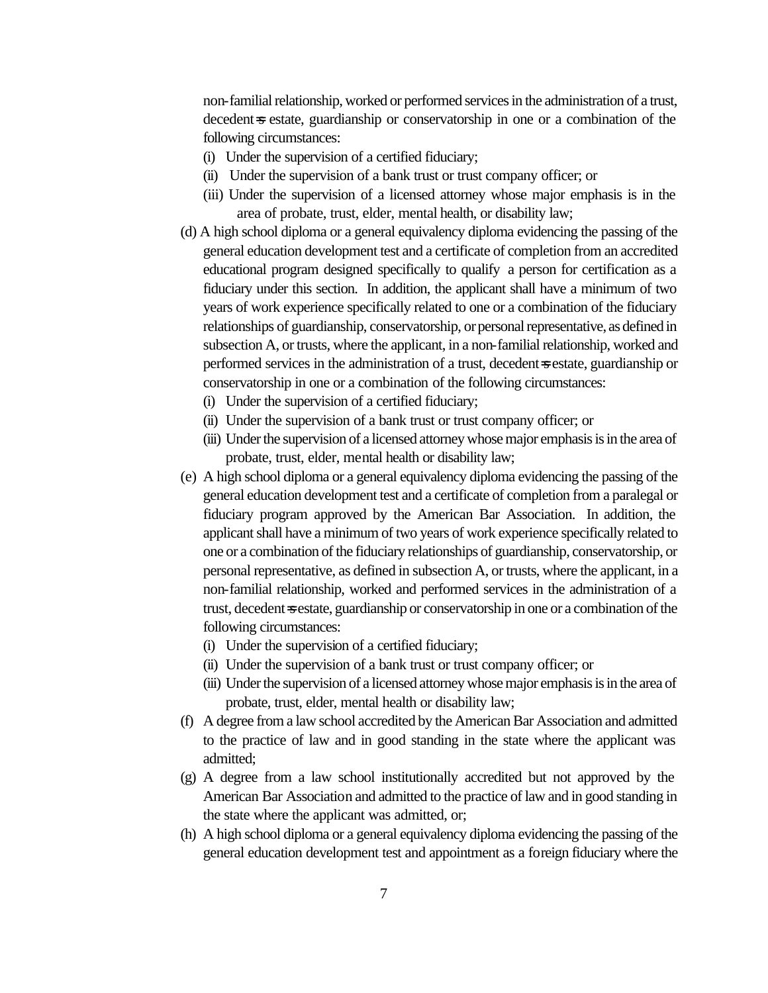non-familial relationship, worked or performed services in the administration of a trust, decedent=s estate, guardianship or conservatorship in one or a combination of the following circumstances:

- (i) Under the supervision of a certified fiduciary;
- (ii) Under the supervision of a bank trust or trust company officer; or
- (iii) Under the supervision of a licensed attorney whose major emphasis is in the area of probate, trust, elder, mental health, or disability law;
- (d) A high school diploma or a general equivalency diploma evidencing the passing of the general education development test and a certificate of completion from an accredited educational program designed specifically to qualify a person for certification as a fiduciary under this section. In addition, the applicant shall have a minimum of two years of work experience specifically related to one or a combination of the fiduciary relationships of guardianship, conservatorship, or personal representative, as defined in subsection A, or trusts, where the applicant, in a non-familial relationship, worked and performed services in the administration of a trust, decedent=s estate, guardianship or conservatorship in one or a combination of the following circumstances:
	- (i) Under the supervision of a certified fiduciary;
	- (ii) Under the supervision of a bank trust or trust company officer; or
	- (iii) Under the supervision of a licensed attorney whose major emphasis is in the area of probate, trust, elder, mental health or disability law;
- (e) A high school diploma or a general equivalency diploma evidencing the passing of the general education development test and a certificate of completion from a paralegal or fiduciary program approved by the American Bar Association. In addition, the applicant shall have a minimum of two years of work experience specifically related to one or a combination of the fiduciary relationships of guardianship, conservatorship, or personal representative, as defined in subsection A, or trusts, where the applicant, in a non-familial relationship, worked and performed services in the administration of a trust, decedent=s estate, guardianship or conservatorship in one or a combination of the following circumstances:
	- (i) Under the supervision of a certified fiduciary;
	- (ii) Under the supervision of a bank trust or trust company officer; or
	- (iii) Under the supervision of a licensed attorney whose major emphasis is in the area of probate, trust, elder, mental health or disability law;
- (f) A degree from a law school accredited by the American Bar Association and admitted to the practice of law and in good standing in the state where the applicant was admitted;
- (g) A degree from a law school institutionally accredited but not approved by the American Bar Association and admitted to the practice of law and in good standing in the state where the applicant was admitted, or;
- (h) A high school diploma or a general equivalency diploma evidencing the passing of the general education development test and appointment as a foreign fiduciary where the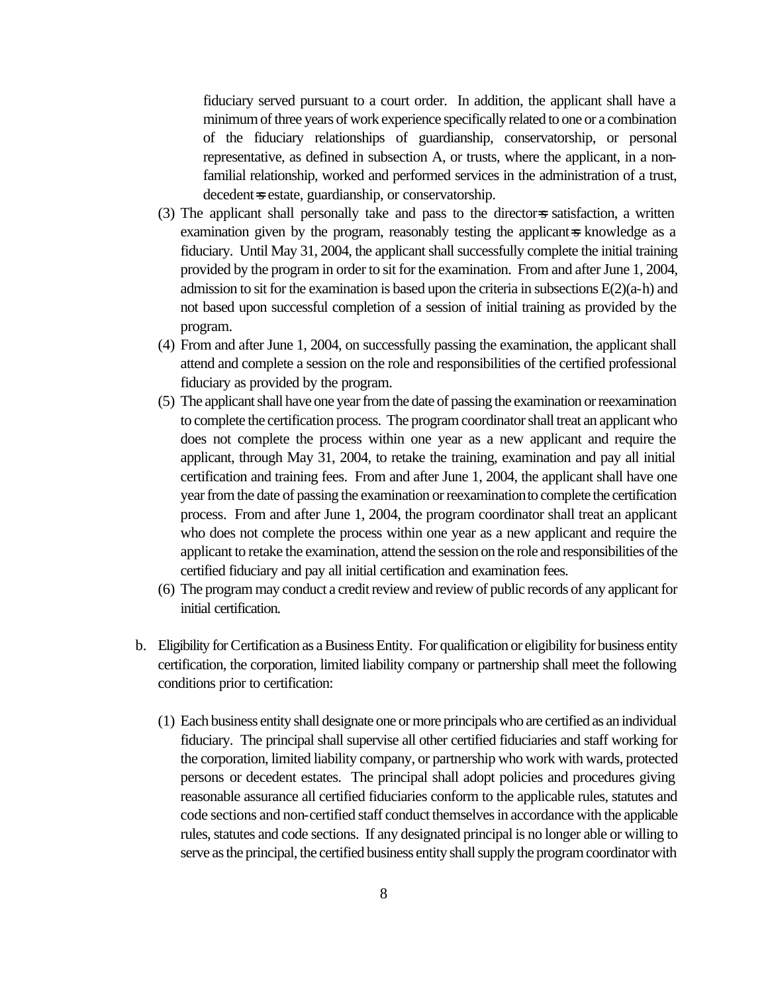fiduciary served pursuant to a court order. In addition, the applicant shall have a minimum of three years of work experience specifically related to one or a combination of the fiduciary relationships of guardianship, conservatorship, or personal representative, as defined in subsection A, or trusts, where the applicant, in a nonfamilial relationship, worked and performed services in the administration of a trust, decedent=s estate, guardianship, or conservatorship.

- (3) The applicant shall personally take and pass to the director=s satisfaction, a written examination given by the program, reasonably testing the applicant=s knowledge as a fiduciary. Until May 31, 2004, the applicant shall successfully complete the initial training provided by the program in order to sit for the examination. From and after June 1, 2004, admission to sit for the examination is based upon the criteria in subsections E(2)(a-h) and not based upon successful completion of a session of initial training as provided by the program.
- (4) From and after June 1, 2004, on successfully passing the examination, the applicant shall attend and complete a session on the role and responsibilities of the certified professional fiduciary as provided by the program.
- (5) The applicant shall have one year from the date of passing the examination or reexamination to complete the certification process. The program coordinator shall treat an applicant who does not complete the process within one year as a new applicant and require the applicant, through May 31, 2004, to retake the training, examination and pay all initial certification and training fees. From and after June 1, 2004, the applicant shall have one year from the date of passing the examination or reexamination to complete the certification process. From and after June 1, 2004, the program coordinator shall treat an applicant who does not complete the process within one year as a new applicant and require the applicant to retake the examination, attend the session on the role and responsibilities of the certified fiduciary and pay all initial certification and examination fees.
- (6) The program may conduct a credit review and review of public records of any applicant for initial certification.
- b. Eligibility for Certification as a Business Entity. For qualification or eligibility for business entity certification, the corporation, limited liability company or partnership shall meet the following conditions prior to certification:
	- (1) Each business entity shall designate one or more principals who are certified as an individual fiduciary. The principal shall supervise all other certified fiduciaries and staff working for the corporation, limited liability company, or partnership who work with wards, protected persons or decedent estates. The principal shall adopt policies and procedures giving reasonable assurance all certified fiduciaries conform to the applicable rules, statutes and code sections and non-certified staff conduct themselves in accordance with the applicable rules, statutes and code sections. If any designated principal is no longer able or willing to serve as the principal, the certified business entity shall supply the program coordinator with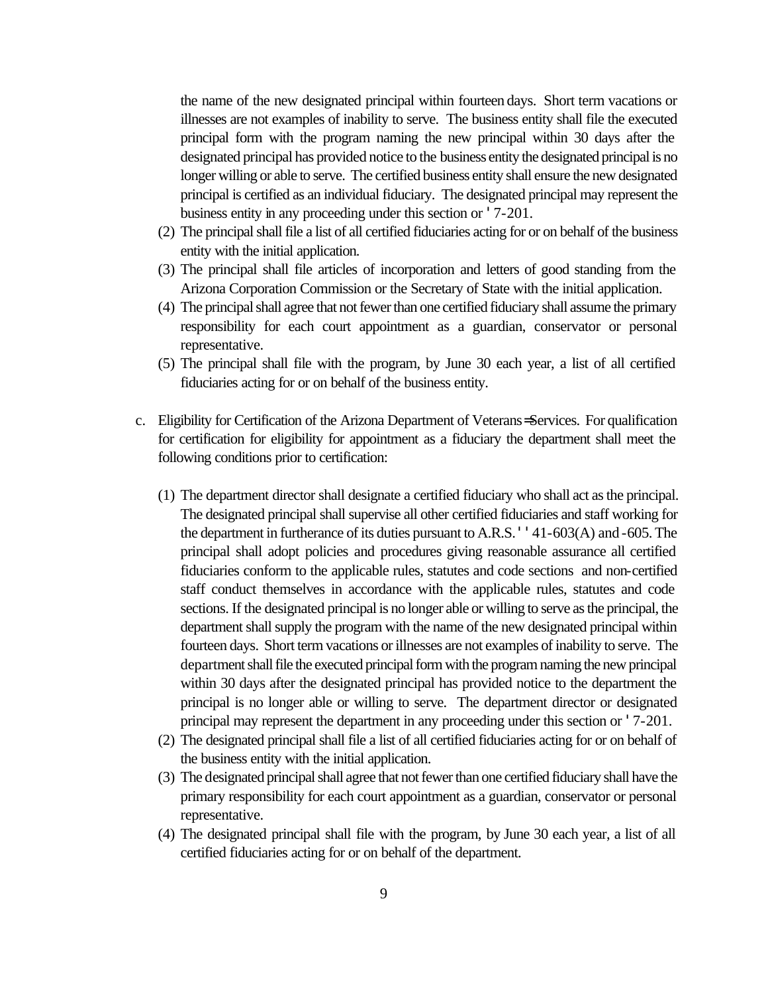the name of the new designated principal within fourteen days. Short term vacations or illnesses are not examples of inability to serve. The business entity shall file the executed principal form with the program naming the new principal within 30 days after the designated principal has provided notice to the business entity the designated principal is no longer willing or able to serve. The certified business entity shall ensure the new designated principal is certified as an individual fiduciary. The designated principal may represent the business entity in any proceeding under this section or '7-201.

- (2) The principal shall file a list of all certified fiduciaries acting for or on behalf of the business entity with the initial application.
- (3) The principal shall file articles of incorporation and letters of good standing from the Arizona Corporation Commission or the Secretary of State with the initial application.
- (4) The principal shall agree that not fewer than one certified fiduciary shall assume the primary responsibility for each court appointment as a guardian, conservator or personal representative.
- (5) The principal shall file with the program, by June 30 each year, a list of all certified fiduciaries acting for or on behalf of the business entity.
- c. Eligibility for Certification of the Arizona Department of Veterans= Services. For qualification for certification for eligibility for appointment as a fiduciary the department shall meet the following conditions prior to certification:
	- (1) The department director shall designate a certified fiduciary who shall act as the principal. The designated principal shall supervise all other certified fiduciaries and staff working for the department in furtherance of its duties pursuant to A.R.S. ''41-603(A) and -605. The principal shall adopt policies and procedures giving reasonable assurance all certified fiduciaries conform to the applicable rules, statutes and code sections and non-certified staff conduct themselves in accordance with the applicable rules, statutes and code sections. If the designated principal is no longer able or willing to serve as the principal, the department shall supply the program with the name of the new designated principal within fourteen days. Short term vacations or illnesses are not examples of inability to serve. The department shall file the executed principal form with the program naming the new principal within 30 days after the designated principal has provided notice to the department the principal is no longer able or willing to serve. The department director or designated principal may represent the department in any proceeding under this section or '7-201.
	- (2) The designated principal shall file a list of all certified fiduciaries acting for or on behalf of the business entity with the initial application.
	- (3) The designated principal shall agree that not fewer than one certified fiduciary shall have the primary responsibility for each court appointment as a guardian, conservator or personal representative.
	- (4) The designated principal shall file with the program, by June 30 each year, a list of all certified fiduciaries acting for or on behalf of the department.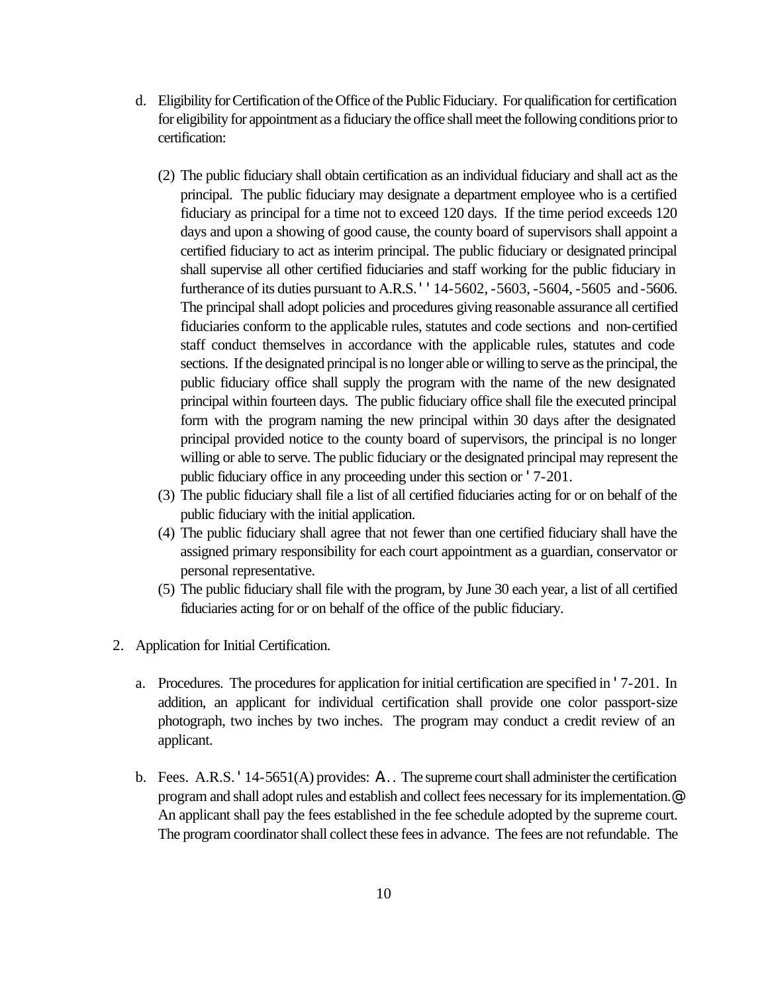- d. Eligibility for Certification of the Office of the Public Fiduciary. For qualification for certification for eligibility for appointment as a fiduciary the office shall meet the following conditions prior to certification:
	- (2) The public fiduciary shall obtain certification as an individual fiduciary and shall act as the principal. The public fiduciary may designate a department employee who is a certified fiduciary as principal for a time not to exceed 120 days. If the time period exceeds 120 days and upon a showing of good cause, the county board of supervisors shall appoint a certified fiduciary to act as interim principal. The public fiduciary or designated principal shall supervise all other certified fiduciaries and staff working for the public fiduciary in furtherance of its duties pursuant to A.R.S. ''14-5602, -5603, -5604, -5605 and -5606. The principal shall adopt policies and procedures giving reasonable assurance all certified fiduciaries conform to the applicable rules, statutes and code sections and non-certified staff conduct themselves in accordance with the applicable rules, statutes and code sections. If the designated principal is no longer able or willing to serve as the principal, the public fiduciary office shall supply the program with the name of the new designated principal within fourteen days. The public fiduciary office shall file the executed principal form with the program naming the new principal within 30 days after the designated principal provided notice to the county board of supervisors, the principal is no longer willing or able to serve. The public fiduciary or the designated principal may represent the public fiduciary office in any proceeding under this section or '7-201.
	- (3) The public fiduciary shall file a list of all certified fiduciaries acting for or on behalf of the public fiduciary with the initial application.
	- (4) The public fiduciary shall agree that not fewer than one certified fiduciary shall have the assigned primary responsibility for each court appointment as a guardian, conservator or personal representative.
	- (5) The public fiduciary shall file with the program, by June 30 each year, a list of all certified fiduciaries acting for or on behalf of the office of the public fiduciary.
- 2. Application for Initial Certification.
	- a. Procedures. The procedures for application for initial certification are specified in '7-201. In addition, an applicant for individual certification shall provide one color passport-size photograph, two inches by two inches. The program may conduct a credit review of an applicant.
	- b. Fees. A.R.S. '14-5651(A) provides: A. . . The supreme court shall administer the certification program and shall adopt rules and establish and collect fees necessary for its implementation.@ An applicant shall pay the fees established in the fee schedule adopted by the supreme court. The program coordinator shall collect these fees in advance. The fees are not refundable. The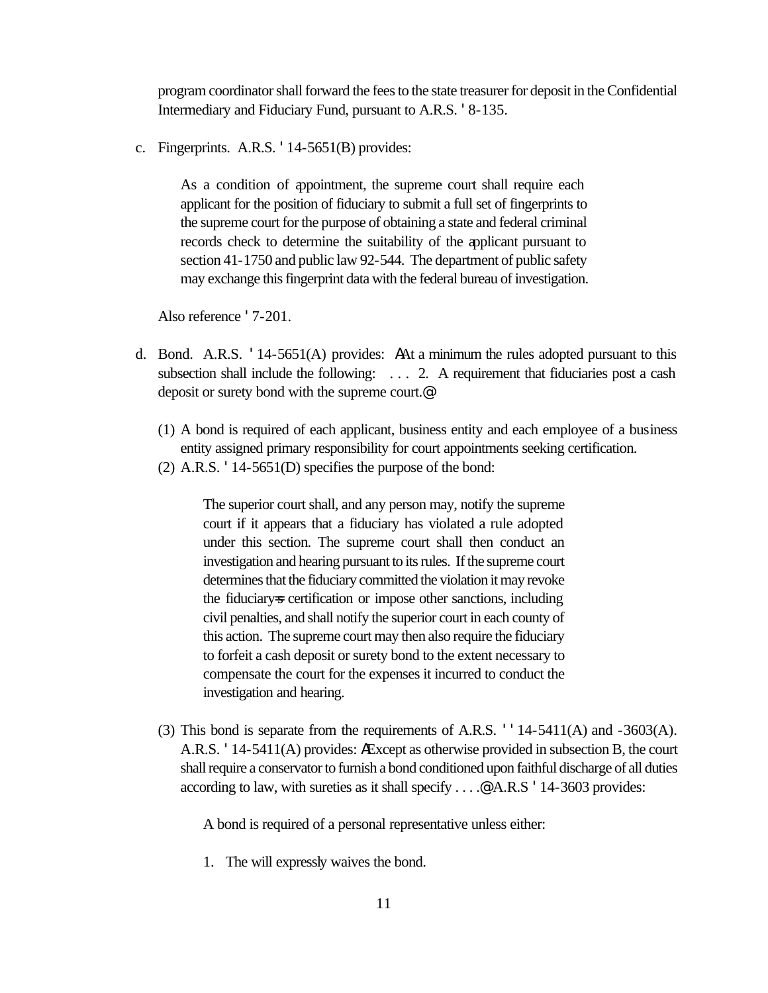program coordinator shall forward the fees to the state treasurer for deposit in the Confidential Intermediary and Fiduciary Fund, pursuant to A.R.S. '8-135.

c. Fingerprints. A.R.S. '14-5651(B) provides:

As a condition of appointment, the supreme court shall require each applicant for the position of fiduciary to submit a full set of fingerprints to the supreme court for the purpose of obtaining a state and federal criminal records check to determine the suitability of the applicant pursuant to section 41-1750 and public law 92-544. The department of public safety may exchange this fingerprint data with the federal bureau of investigation.

Also reference '7-201.

- d. Bond. A.R.S. '14-5651(A) provides: AAt a minimum the rules adopted pursuant to this subsection shall include the following:  $\dots$  2. A requirement that fiduciaries post a cash deposit or surety bond with the supreme court.@
	- (1) A bond is required of each applicant, business entity and each employee of a business entity assigned primary responsibility for court appointments seeking certification.
	- (2) A.R.S. '14-5651(D) specifies the purpose of the bond:

The superior court shall, and any person may, notify the supreme court if it appears that a fiduciary has violated a rule adopted under this section. The supreme court shall then conduct an investigation and hearing pursuant to its rules. If the supreme court determines that the fiduciary committed the violation it may revoke the fiduciary=s certification or impose other sanctions, including civil penalties, and shall notify the superior court in each county of this action. The supreme court may then also require the fiduciary to forfeit a cash deposit or surety bond to the extent necessary to compensate the court for the expenses it incurred to conduct the investigation and hearing.

(3) This bond is separate from the requirements of A.R.S. ''14-5411(A) and -3603(A). A.R.S. '14-5411(A) provides: AExcept as otherwise provided in subsection B, the court shall require a conservator to furnish a bond conditioned upon faithful discharge of all duties according to law, with sureties as it shall specify . . . .@ A.R.S '14-3603 provides:

A bond is required of a personal representative unless either:

1. The will expressly waives the bond.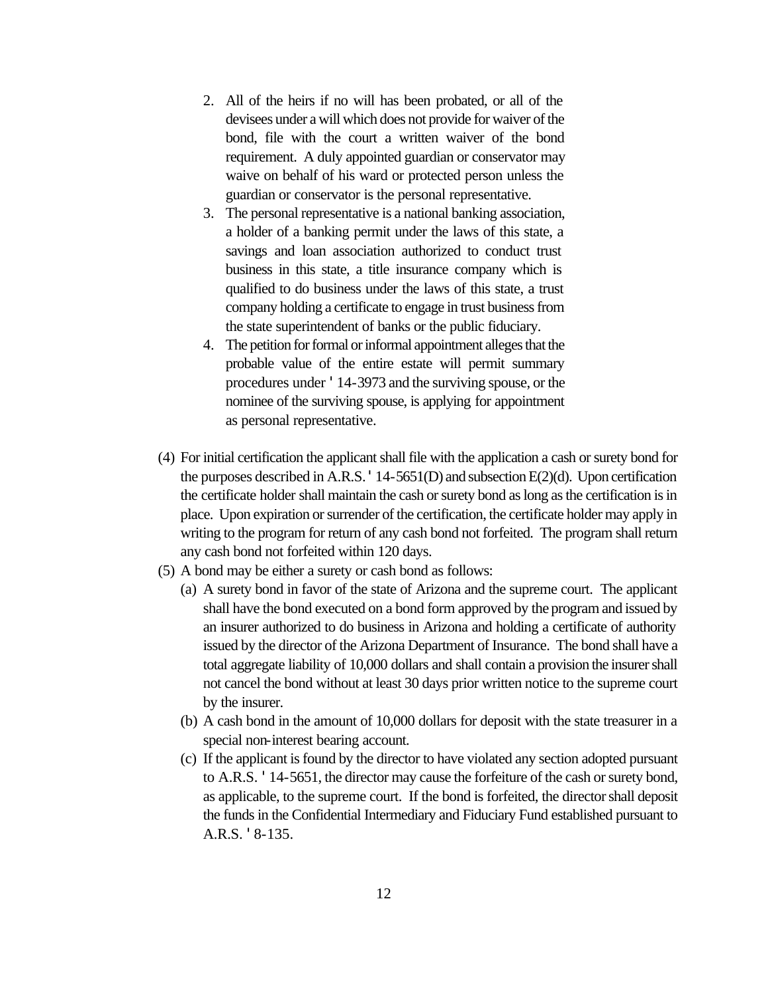- 2. All of the heirs if no will has been probated, or all of the devisees under a will which does not provide for waiver of the bond, file with the court a written waiver of the bond requirement. A duly appointed guardian or conservator may waive on behalf of his ward or protected person unless the guardian or conservator is the personal representative.
- 3. The personal representative is a national banking association, a holder of a banking permit under the laws of this state, a savings and loan association authorized to conduct trust business in this state, a title insurance company which is qualified to do business under the laws of this state, a trust company holding a certificate to engage in trust business from the state superintendent of banks or the public fiduciary.
- 4. The petition for formal or informal appointment alleges that the probable value of the entire estate will permit summary procedures under '14-3973 and the surviving spouse, or the nominee of the surviving spouse, is applying for appointment as personal representative.
- (4) For initial certification the applicant shall file with the application a cash or surety bond for the purposes described in A.R.S.  $'$  14-5651(D) and subsection E(2)(d). Upon certification the certificate holder shall maintain the cash or surety bond as long as the certification is in place. Upon expiration or surrender of the certification, the certificate holder may apply in writing to the program for return of any cash bond not forfeited. The program shall return any cash bond not forfeited within 120 days.
- (5) A bond may be either a surety or cash bond as follows:
	- (a) A surety bond in favor of the state of Arizona and the supreme court. The applicant shall have the bond executed on a bond form approved by the program and issued by an insurer authorized to do business in Arizona and holding a certificate of authority issued by the director of the Arizona Department of Insurance. The bond shall have a total aggregate liability of 10,000 dollars and shall contain a provision the insurer shall not cancel the bond without at least 30 days prior written notice to the supreme court by the insurer.
	- (b) A cash bond in the amount of 10,000 dollars for deposit with the state treasurer in a special non-interest bearing account.
	- (c) If the applicant is found by the director to have violated any section adopted pursuant to A.R.S. '14-5651, the director may cause the forfeiture of the cash or surety bond, as applicable, to the supreme court. If the bond is forfeited, the director shall deposit the funds in the Confidential Intermediary and Fiduciary Fund established pursuant to A.R.S. '8-135.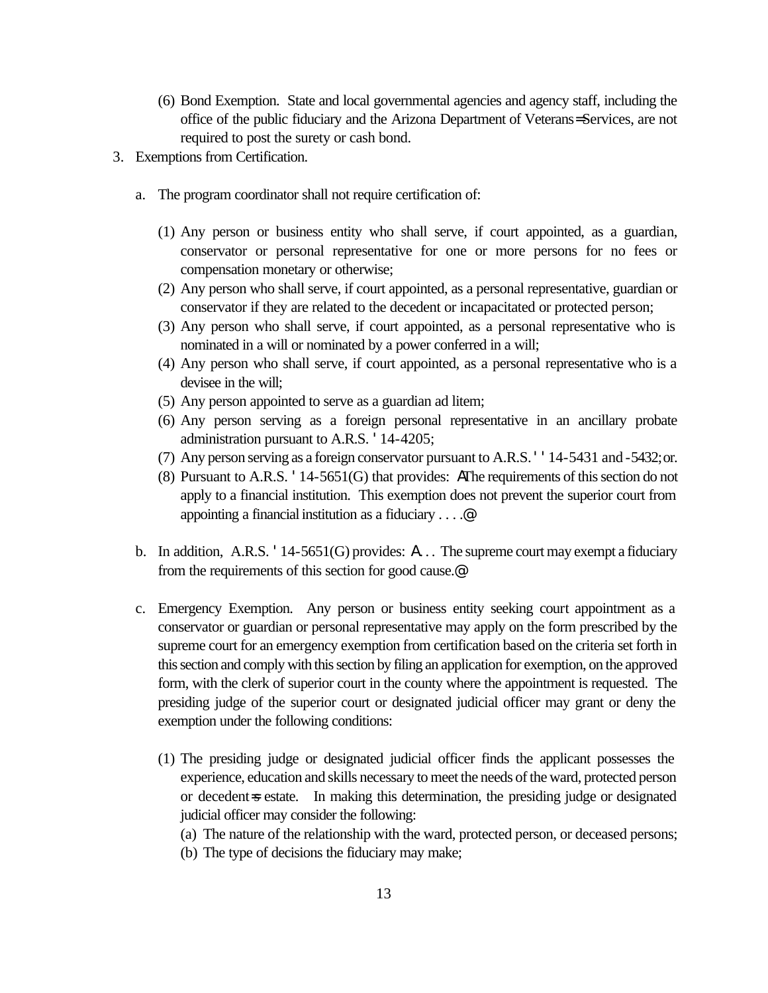- (6) Bond Exemption. State and local governmental agencies and agency staff, including the office of the public fiduciary and the Arizona Department of Veterans= Services, are not required to post the surety or cash bond.
- 3. Exemptions from Certification.
	- a. The program coordinator shall not require certification of:
		- (1) Any person or business entity who shall serve, if court appointed, as a guardian, conservator or personal representative for one or more persons for no fees or compensation monetary or otherwise;
		- (2) Any person who shall serve, if court appointed, as a personal representative, guardian or conservator if they are related to the decedent or incapacitated or protected person;
		- (3) Any person who shall serve, if court appointed, as a personal representative who is nominated in a will or nominated by a power conferred in a will;
		- (4) Any person who shall serve, if court appointed, as a personal representative who is a devisee in the will;
		- (5) Any person appointed to serve as a guardian ad litem;
		- (6) Any person serving as a foreign personal representative in an ancillary probate administration pursuant to A.R.S. '14-4205;
		- (7) Any person serving as a foreign conservator pursuant to A.R.S. ''14-5431 and -5432; or.
		- (8) Pursuant to A.R.S. '14-5651(G) that provides: AThe requirements of this section do not apply to a financial institution. This exemption does not prevent the superior court from appointing a financial institution as a fiduciary . . . .@
	- b. In addition, A.R.S.  $'$  14-5651(G) provides: A... The supreme court may exempt a fiduciary from the requirements of this section for good cause.@
	- c. Emergency Exemption. Any person or business entity seeking court appointment as a conservator or guardian or personal representative may apply on the form prescribed by the supreme court for an emergency exemption from certification based on the criteria set forth in this section and comply with this section by filing an application for exemption, on the approved form, with the clerk of superior court in the county where the appointment is requested. The presiding judge of the superior court or designated judicial officer may grant or deny the exemption under the following conditions:
		- (1) The presiding judge or designated judicial officer finds the applicant possesses the experience, education and skills necessary to meet the needs of the ward, protected person or decedent=s estate. In making this determination, the presiding judge or designated judicial officer may consider the following:
			- (a) The nature of the relationship with the ward, protected person, or deceased persons;
			- (b) The type of decisions the fiduciary may make;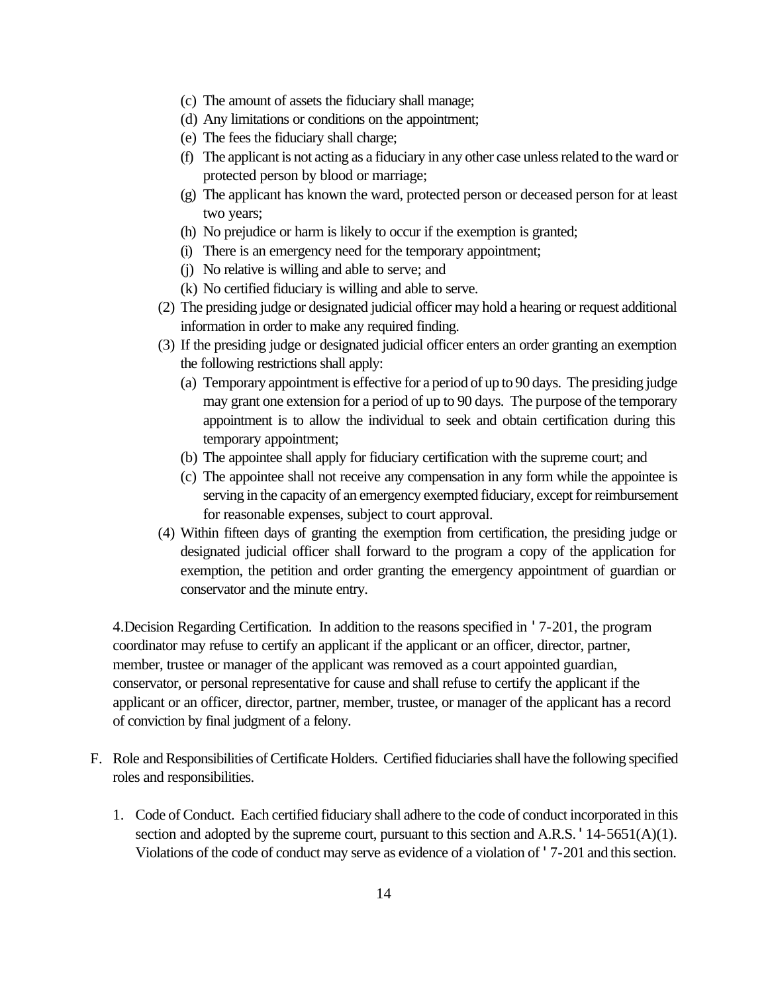- (c) The amount of assets the fiduciary shall manage;
- (d) Any limitations or conditions on the appointment;
- (e) The fees the fiduciary shall charge;
- (f) The applicant is not acting as a fiduciary in any other case unless related to the ward or protected person by blood or marriage;
- (g) The applicant has known the ward, protected person or deceased person for at least two years;
- (h) No prejudice or harm is likely to occur if the exemption is granted;
- (i) There is an emergency need for the temporary appointment;
- (j) No relative is willing and able to serve; and
- (k) No certified fiduciary is willing and able to serve.
- (2) The presiding judge or designated judicial officer may hold a hearing or request additional information in order to make any required finding.
- (3) If the presiding judge or designated judicial officer enters an order granting an exemption the following restrictions shall apply:
	- (a) Temporary appointment is effective for a period of up to 90 days. The presiding judge may grant one extension for a period of up to 90 days. The purpose of the temporary appointment is to allow the individual to seek and obtain certification during this temporary appointment;
	- (b) The appointee shall apply for fiduciary certification with the supreme court; and
	- (c) The appointee shall not receive any compensation in any form while the appointee is serving in the capacity of an emergency exempted fiduciary, except for reimbursement for reasonable expenses, subject to court approval.
- (4) Within fifteen days of granting the exemption from certification, the presiding judge or designated judicial officer shall forward to the program a copy of the application for exemption, the petition and order granting the emergency appointment of guardian or conservator and the minute entry.

 4.Decision Regarding Certification. In addition to the reasons specified in '7-201, the program coordinator may refuse to certify an applicant if the applicant or an officer, director, partner, member, trustee or manager of the applicant was removed as a court appointed guardian, conservator, or personal representative for cause and shall refuse to certify the applicant if the applicant or an officer, director, partner, member, trustee, or manager of the applicant has a record of conviction by final judgment of a felony.

- F. Role and Responsibilities of Certificate Holders. Certified fiduciaries shall have the following specified roles and responsibilities.
	- 1. Code of Conduct. Each certified fiduciary shall adhere to the code of conduct incorporated in this section and adopted by the supreme court, pursuant to this section and A.R.S.  $14-5651(A)(1)$ . Violations of the code of conduct may serve as evidence of a violation of '7-201 and this section.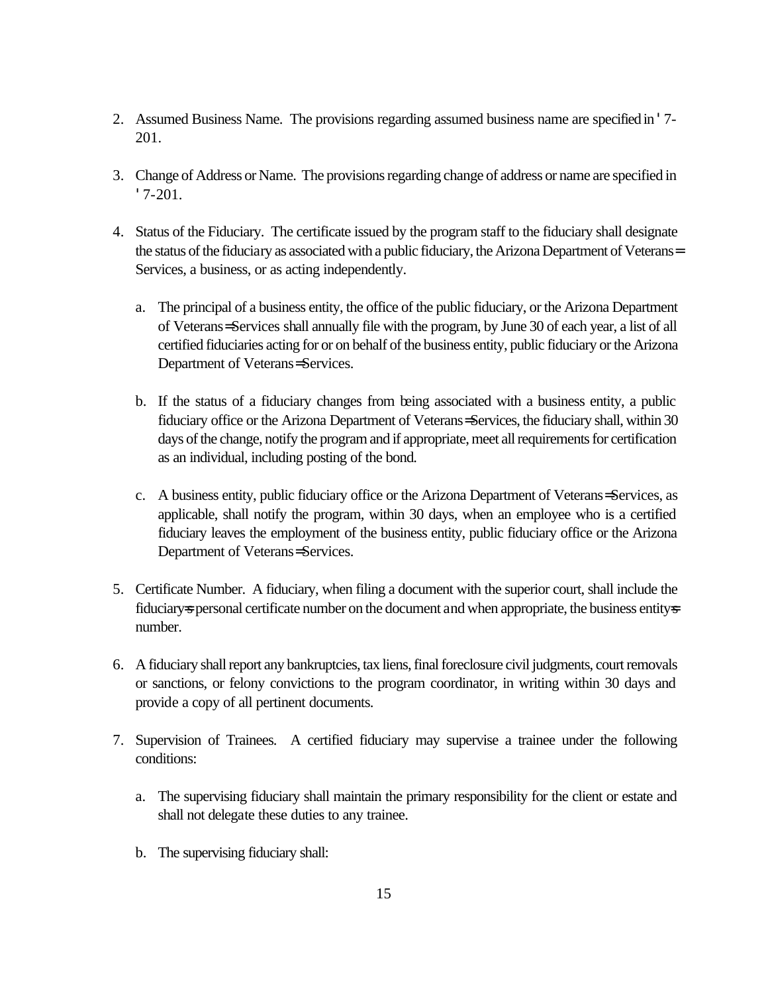- 2. Assumed Business Name. The provisions regarding assumed business name are specified in '7- 201.
- 3. Change of Address or Name. The provisions regarding change of address or name are specified in '7-201.
- 4. Status of the Fiduciary. The certificate issued by the program staff to the fiduciary shall designate the status of the fiduciary as associated with a public fiduciary, the Arizona Department of Veterans= Services, a business, or as acting independently.
	- a. The principal of a business entity, the office of the public fiduciary, or the Arizona Department of Veterans= Services shall annually file with the program, by June 30 of each year, a list of all certified fiduciaries acting for or on behalf of the business entity, public fiduciary or the Arizona Department of Veterans= Services.
	- b. If the status of a fiduciary changes from being associated with a business entity, a public fiduciary office or the Arizona Department of Veterans= Services, the fiduciary shall, within 30 days of the change, notify the program and if appropriate, meet all requirements for certification as an individual, including posting of the bond.
	- c. A business entity, public fiduciary office or the Arizona Department of Veterans= Services, as applicable, shall notify the program, within 30 days, when an employee who is a certified fiduciary leaves the employment of the business entity, public fiduciary office or the Arizona Department of Veterans= Services.
- 5. Certificate Number. A fiduciary, when filing a document with the superior court, shall include the fiduciary=s personal certificate number on the document and when appropriate, the business entity=s number.
- 6. A fiduciary shall report any bankruptcies, tax liens, final foreclosure civil judgments, court removals or sanctions, or felony convictions to the program coordinator, in writing within 30 days and provide a copy of all pertinent documents.
- 7. Supervision of Trainees. A certified fiduciary may supervise a trainee under the following conditions:
	- a. The supervising fiduciary shall maintain the primary responsibility for the client or estate and shall not delegate these duties to any trainee.
	- b. The supervising fiduciary shall: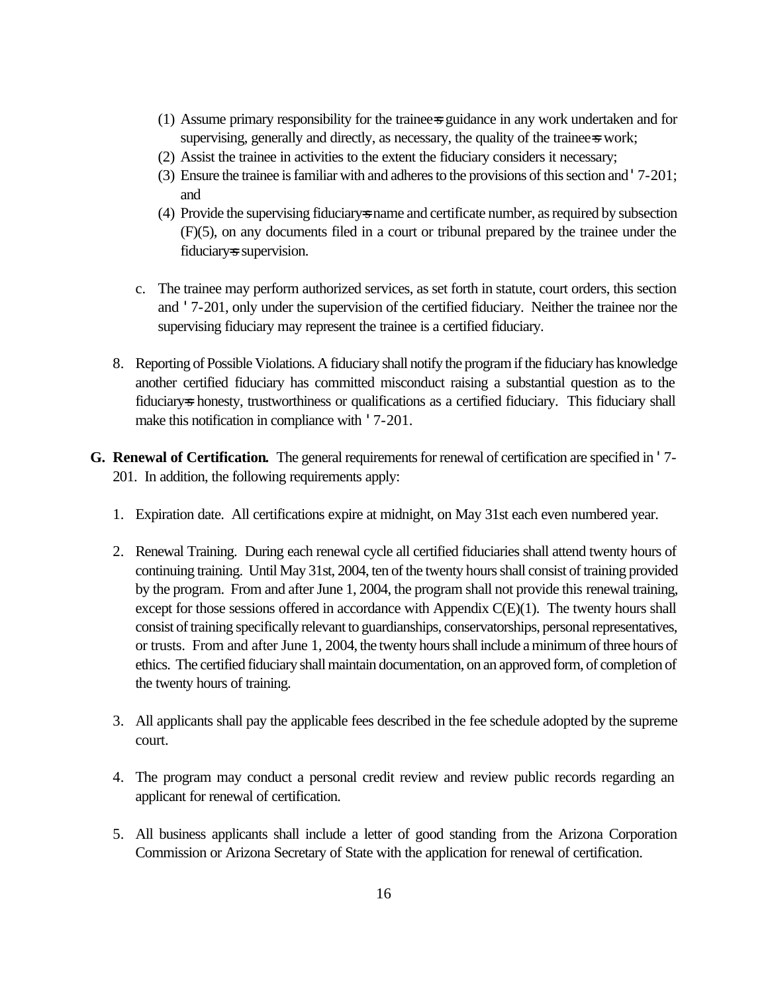- (1) Assume primary responsibility for the trainee=s guidance in any work undertaken and for supervising, generally and directly, as necessary, the quality of the trainee=s work;
- (2) Assist the trainee in activities to the extent the fiduciary considers it necessary;
- (3) Ensure the trainee is familiar with and adheres to the provisions of this section and '7-201; and
- (4) Provide the supervising fiduciary=s name and certificate number, as required by subsection (F)(5), on any documents filed in a court or tribunal prepared by the trainee under the fiduciary=s supervision.
- c. The trainee may perform authorized services, as set forth in statute, court orders, this section and '7-201, only under the supervision of the certified fiduciary. Neither the trainee nor the supervising fiduciary may represent the trainee is a certified fiduciary.
- 8. Reporting of Possible Violations. A fiduciary shall notify the program if the fiduciary has knowledge another certified fiduciary has committed misconduct raising a substantial question as to the fiduciary-s honesty, trustworthiness or qualifications as a certified fiduciary. This fiduciary shall make this notification in compliance with '7-201.
- **G. Renewal of Certification.** The general requirements for renewal of certification are specified in '7- 201. In addition, the following requirements apply:
	- 1. Expiration date. All certifications expire at midnight, on May 31st each even numbered year.
	- 2. Renewal Training. During each renewal cycle all certified fiduciaries shall attend twenty hours of continuing training. Until May 31st, 2004, ten of the twenty hours shall consist of training provided by the program. From and after June 1, 2004, the program shall not provide this renewal training, except for those sessions offered in accordance with Appendix  $C(E)(1)$ . The twenty hours shall consist of training specifically relevant to guardianships, conservatorships, personal representatives, or trusts. From and after June 1, 2004, the twenty hours shall include a minimum of three hours of ethics. The certified fiduciary shall maintain documentation, on an approved form, of completion of the twenty hours of training.
	- 3. All applicants shall pay the applicable fees described in the fee schedule adopted by the supreme court.
	- 4. The program may conduct a personal credit review and review public records regarding an applicant for renewal of certification.
	- 5. All business applicants shall include a letter of good standing from the Arizona Corporation Commission or Arizona Secretary of State with the application for renewal of certification.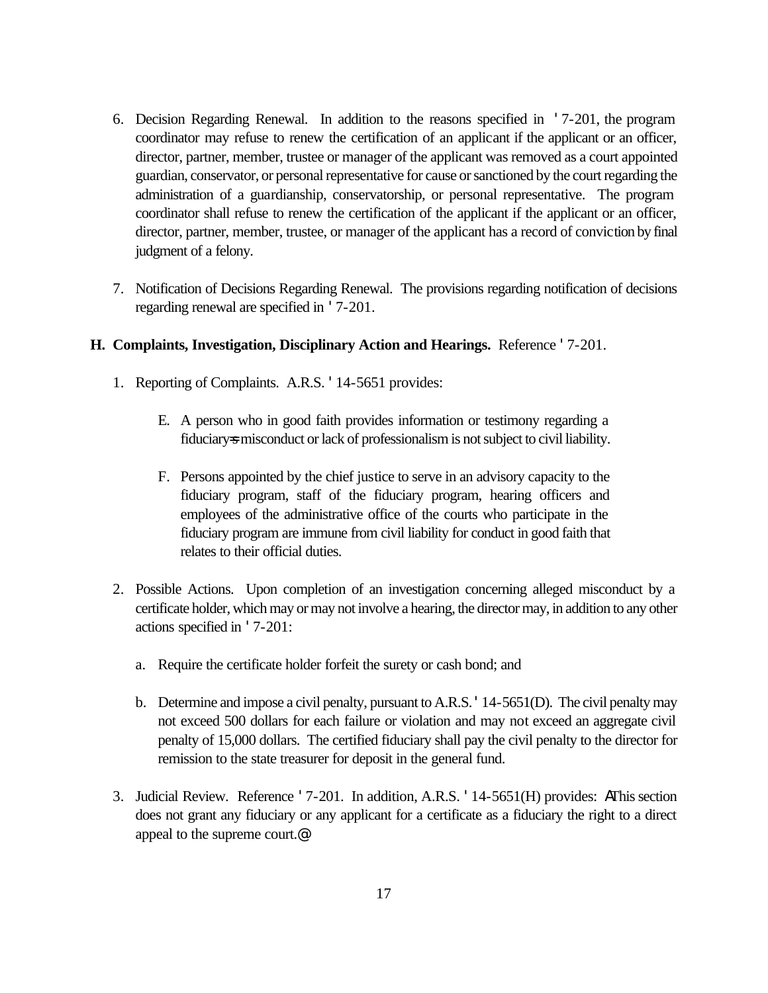- 6. Decision Regarding Renewal. In addition to the reasons specified in '7-201, the program coordinator may refuse to renew the certification of an applicant if the applicant or an officer, director, partner, member, trustee or manager of the applicant was removed as a court appointed guardian, conservator, or personal representative for cause or sanctioned by the court regarding the administration of a guardianship, conservatorship, or personal representative. The program coordinator shall refuse to renew the certification of the applicant if the applicant or an officer, director, partner, member, trustee, or manager of the applicant has a record of conviction by final judgment of a felony.
- 7. Notification of Decisions Regarding Renewal. The provisions regarding notification of decisions regarding renewal are specified in '7-201.

### **H. Complaints, Investigation, Disciplinary Action and Hearings.** Reference '7-201.

- 1. Reporting of Complaints. A.R.S. '14-5651 provides:
	- E. A person who in good faith provides information or testimony regarding a fiduciary=s misconduct or lack of professionalism is not subject to civil liability.
	- F. Persons appointed by the chief justice to serve in an advisory capacity to the fiduciary program, staff of the fiduciary program, hearing officers and employees of the administrative office of the courts who participate in the fiduciary program are immune from civil liability for conduct in good faith that relates to their official duties.
- 2. Possible Actions. Upon completion of an investigation concerning alleged misconduct by a certificate holder, which may or may not involve a hearing, the director may, in addition to any other actions specified in '7-201:
	- a. Require the certificate holder forfeit the surety or cash bond; and
	- b. Determine and impose a civil penalty, pursuant to A.R.S. '14-5651(D). The civil penalty may not exceed 500 dollars for each failure or violation and may not exceed an aggregate civil penalty of 15,000 dollars. The certified fiduciary shall pay the civil penalty to the director for remission to the state treasurer for deposit in the general fund.
- 3. Judicial Review. Reference '7-201. In addition, A.R.S. '14-5651(H) provides: AThis section does not grant any fiduciary or any applicant for a certificate as a fiduciary the right to a direct appeal to the supreme court.@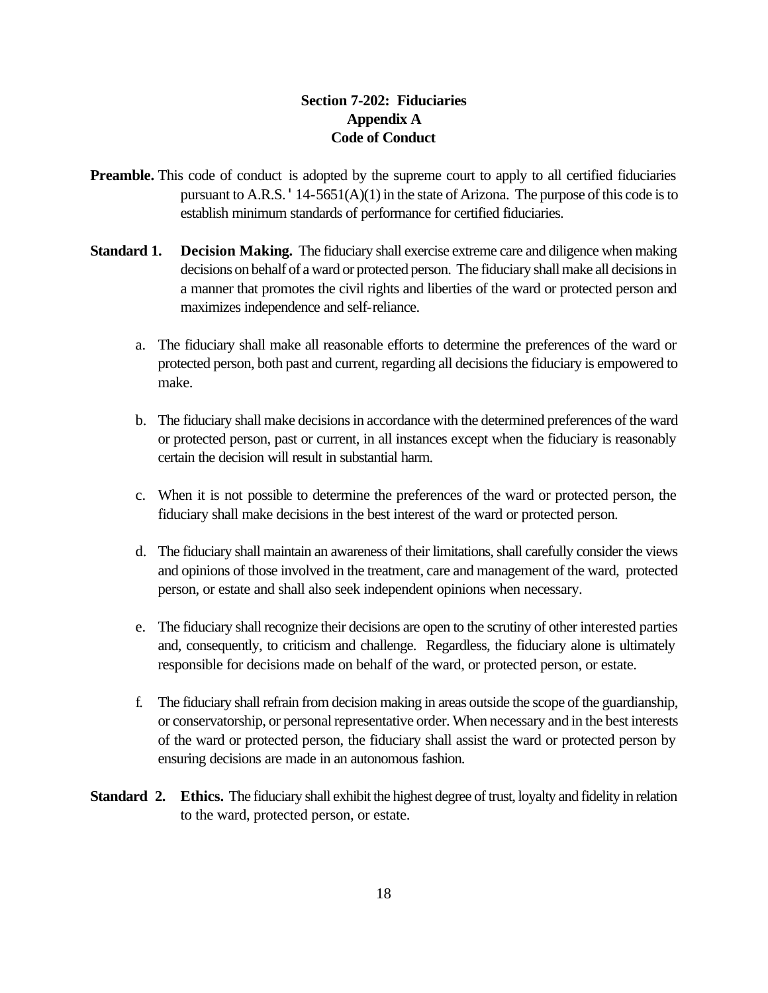## **Section 7-202: Fiduciaries Appendix A Code of Conduct**

- **Preamble.** This code of conduct is adopted by the supreme court to apply to all certified fiduciaries pursuant to A.R.S.  $'14-5651(A)(1)$  in the state of Arizona. The purpose of this code is to establish minimum standards of performance for certified fiduciaries.
- **Standard 1. Decision Making.** The fiduciary shall exercise extreme care and diligence when making decisions on behalf of a ward or protected person. The fiduciary shall make all decisions in a manner that promotes the civil rights and liberties of the ward or protected person and maximizes independence and self-reliance.
	- a. The fiduciary shall make all reasonable efforts to determine the preferences of the ward or protected person, both past and current, regarding all decisions the fiduciary is empowered to make.
	- b. The fiduciary shall make decisions in accordance with the determined preferences of the ward or protected person, past or current, in all instances except when the fiduciary is reasonably certain the decision will result in substantial harm.
	- c. When it is not possible to determine the preferences of the ward or protected person, the fiduciary shall make decisions in the best interest of the ward or protected person.
	- d. The fiduciary shall maintain an awareness of their limitations, shall carefully consider the views and opinions of those involved in the treatment, care and management of the ward, protected person, or estate and shall also seek independent opinions when necessary.
	- e. The fiduciary shall recognize their decisions are open to the scrutiny of other interested parties and, consequently, to criticism and challenge. Regardless, the fiduciary alone is ultimately responsible for decisions made on behalf of the ward, or protected person, or estate.
	- f. The fiduciary shall refrain from decision making in areas outside the scope of the guardianship, or conservatorship, or personal representative order. When necessary and in the best interests of the ward or protected person, the fiduciary shall assist the ward or protected person by ensuring decisions are made in an autonomous fashion.
- **Standard 2. Ethics.** The fiduciary shall exhibit the highest degree of trust, loyalty and fidelity in relation to the ward, protected person, or estate.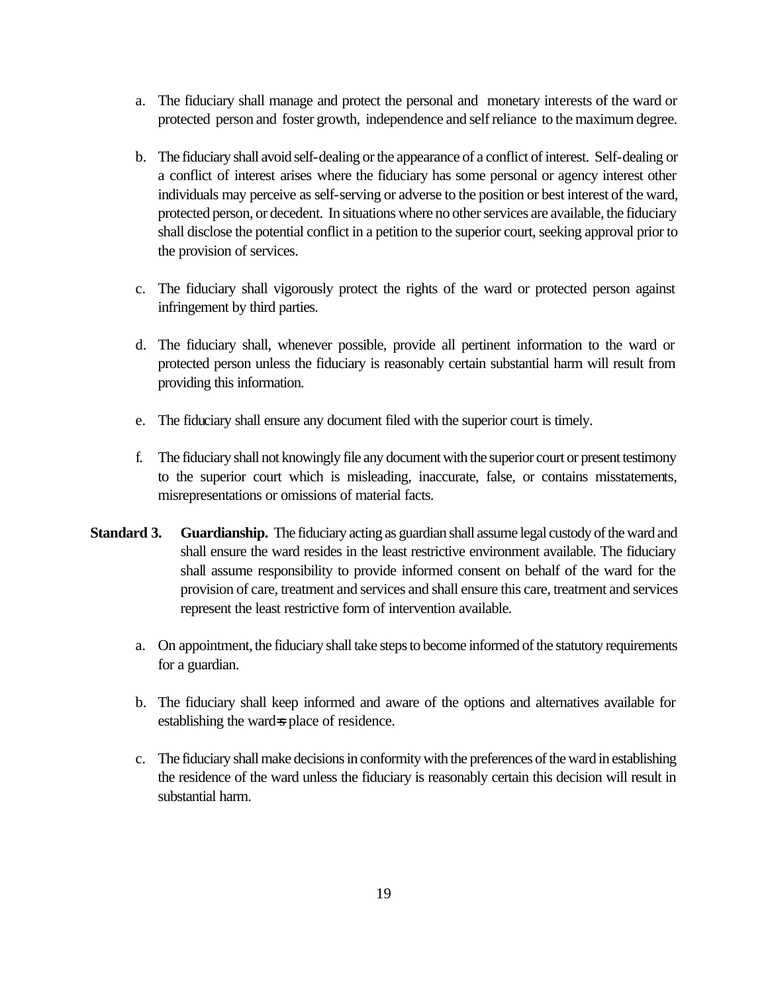- a. The fiduciary shall manage and protect the personal and monetary interests of the ward or protected person and foster growth, independence and self reliance to the maximum degree.
- b. The fiduciary shall avoid self-dealing or the appearance of a conflict of interest. Self-dealing or a conflict of interest arises where the fiduciary has some personal or agency interest other individuals may perceive as self-serving or adverse to the position or best interest of the ward, protected person, or decedent. In situations where no other services are available, the fiduciary shall disclose the potential conflict in a petition to the superior court, seeking approval prior to the provision of services.
- c. The fiduciary shall vigorously protect the rights of the ward or protected person against infringement by third parties.
- d. The fiduciary shall, whenever possible, provide all pertinent information to the ward or protected person unless the fiduciary is reasonably certain substantial harm will result from providing this information.
- e. The fiduciary shall ensure any document filed with the superior court is timely.
- f. The fiduciary shall not knowingly file any document with the superior court or present testimony to the superior court which is misleading, inaccurate, false, or contains misstatements, misrepresentations or omissions of material facts.
- **Standard 3. Guardianship.** The fiduciary acting as guardian shall assume legal custody of the ward and shall ensure the ward resides in the least restrictive environment available. The fiduciary shall assume responsibility to provide informed consent on behalf of the ward for the provision of care, treatment and services and shall ensure this care, treatment and services represent the least restrictive form of intervention available.
	- a. On appointment, the fiduciary shall take steps to become informed of the statutory requirements for a guardian.
	- b. The fiduciary shall keep informed and aware of the options and alternatives available for establishing the ward=s place of residence.
	- c. The fiduciary shall make decisions in conformity with the preferences of the ward in establishing the residence of the ward unless the fiduciary is reasonably certain this decision will result in substantial harm.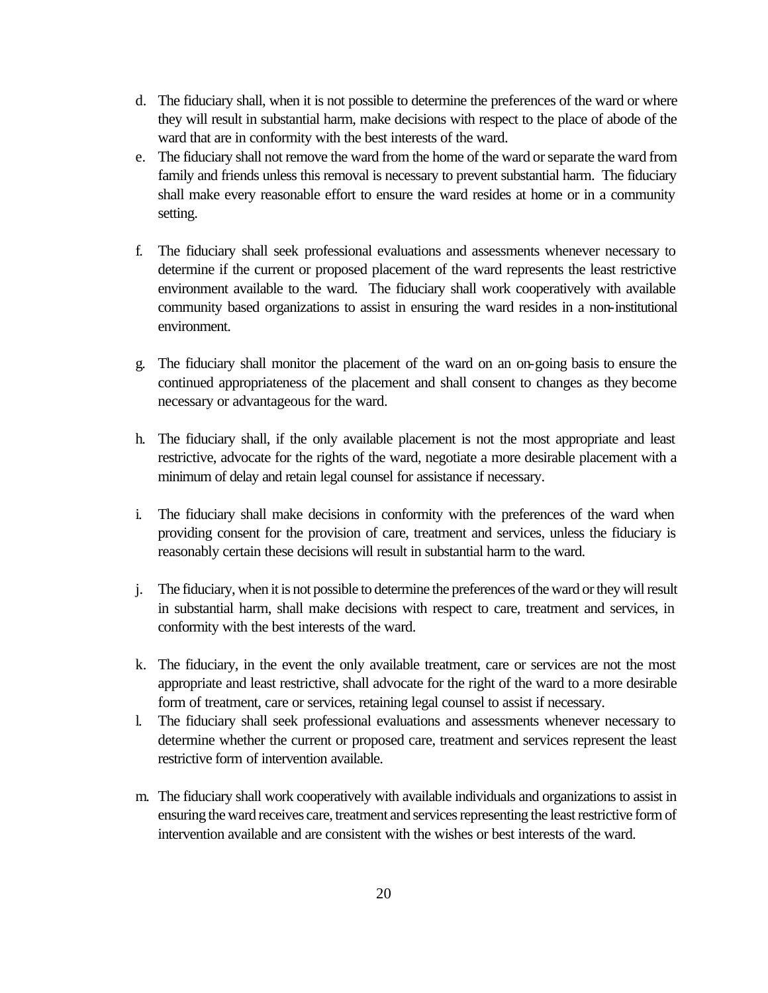- d. The fiduciary shall, when it is not possible to determine the preferences of the ward or where they will result in substantial harm, make decisions with respect to the place of abode of the ward that are in conformity with the best interests of the ward.
- e. The fiduciary shall not remove the ward from the home of the ward or separate the ward from family and friends unless this removal is necessary to prevent substantial harm. The fiduciary shall make every reasonable effort to ensure the ward resides at home or in a community setting.
- f. The fiduciary shall seek professional evaluations and assessments whenever necessary to determine if the current or proposed placement of the ward represents the least restrictive environment available to the ward. The fiduciary shall work cooperatively with available community based organizations to assist in ensuring the ward resides in a non-institutional environment.
- g. The fiduciary shall monitor the placement of the ward on an on-going basis to ensure the continued appropriateness of the placement and shall consent to changes as they become necessary or advantageous for the ward.
- h. The fiduciary shall, if the only available placement is not the most appropriate and least restrictive, advocate for the rights of the ward, negotiate a more desirable placement with a minimum of delay and retain legal counsel for assistance if necessary.
- i. The fiduciary shall make decisions in conformity with the preferences of the ward when providing consent for the provision of care, treatment and services, unless the fiduciary is reasonably certain these decisions will result in substantial harm to the ward.
- j. The fiduciary, when it is not possible to determine the preferences of the ward or they will result in substantial harm, shall make decisions with respect to care, treatment and services, in conformity with the best interests of the ward.
- k. The fiduciary, in the event the only available treatment, care or services are not the most appropriate and least restrictive, shall advocate for the right of the ward to a more desirable form of treatment, care or services, retaining legal counsel to assist if necessary.
- l. The fiduciary shall seek professional evaluations and assessments whenever necessary to determine whether the current or proposed care, treatment and services represent the least restrictive form of intervention available.
- m. The fiduciary shall work cooperatively with available individuals and organizations to assist in ensuring the ward receives care, treatment and services representing the least restrictive form of intervention available and are consistent with the wishes or best interests of the ward.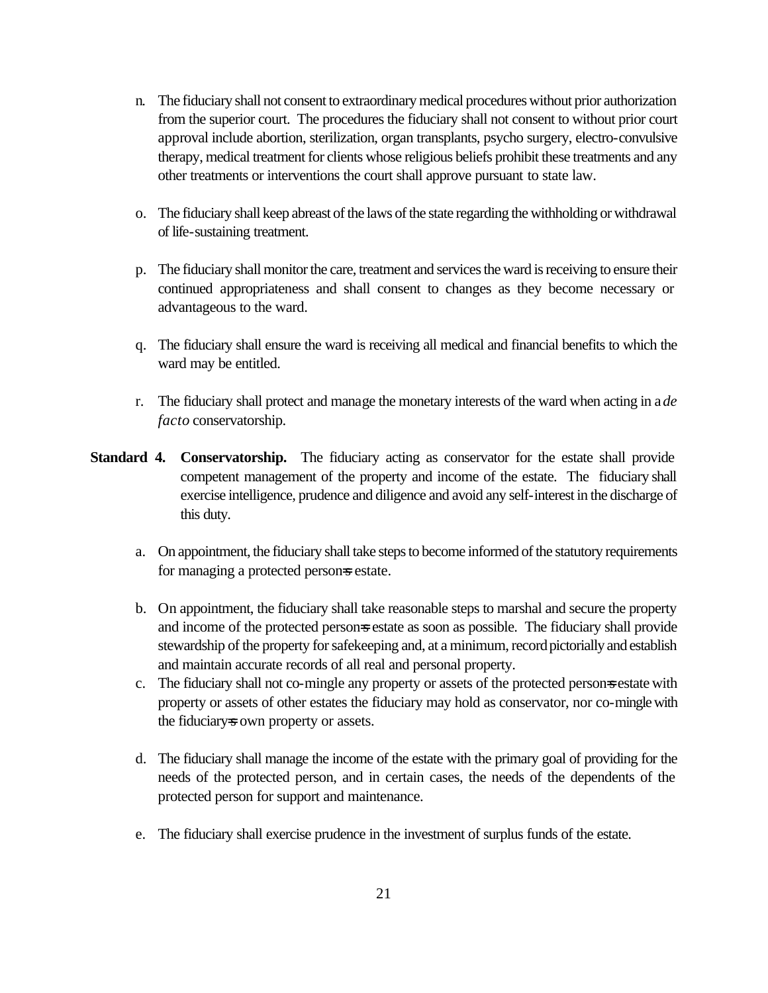- n. The fiduciary shall not consent to extraordinary medical procedures without prior authorization from the superior court. The procedures the fiduciary shall not consent to without prior court approval include abortion, sterilization, organ transplants, psycho surgery, electro-convulsive therapy, medical treatment for clients whose religious beliefs prohibit these treatments and any other treatments or interventions the court shall approve pursuant to state law.
- o. The fiduciary shall keep abreast of the laws of the state regarding the withholding or withdrawal of life-sustaining treatment.
- p. The fiduciary shall monitor the care, treatment and services the ward is receiving to ensure their continued appropriateness and shall consent to changes as they become necessary or advantageous to the ward.
- q. The fiduciary shall ensure the ward is receiving all medical and financial benefits to which the ward may be entitled.
- r. The fiduciary shall protect and manage the monetary interests of the ward when acting in a *de facto* conservatorship.
- **Standard 4. Conservatorship.** The fiduciary acting as conservator for the estate shall provide competent management of the property and income of the estate. The fiduciary shall exercise intelligence, prudence and diligence and avoid any self-interest in the discharge of this duty.
	- a. On appointment, the fiduciary shall take steps to become informed of the statutory requirements for managing a protected persons estate.
	- b. On appointment, the fiduciary shall take reasonable steps to marshal and secure the property and income of the protected person=s estate as soon as possible. The fiduciary shall provide stewardship of the property for safekeeping and, at a minimum, record pictorially and establish and maintain accurate records of all real and personal property.
	- c. The fiduciary shall not co-mingle any property or assets of the protected person=s estate with property or assets of other estates the fiduciary may hold as conservator, nor co-mingle with the fiduciary=s own property or assets.
	- d. The fiduciary shall manage the income of the estate with the primary goal of providing for the needs of the protected person, and in certain cases, the needs of the dependents of the protected person for support and maintenance.
	- e. The fiduciary shall exercise prudence in the investment of surplus funds of the estate.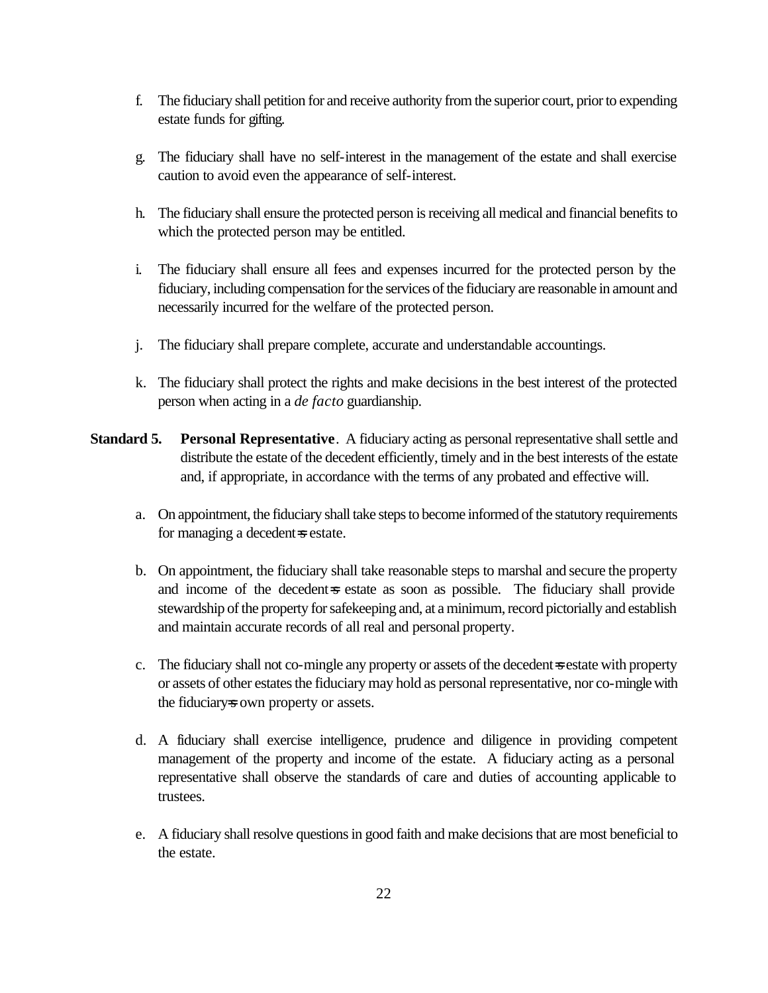- f. The fiduciary shall petition for and receive authority from the superior court, prior to expending estate funds for gifting.
- g. The fiduciary shall have no self-interest in the management of the estate and shall exercise caution to avoid even the appearance of self-interest.
- h. The fiduciary shall ensure the protected person is receiving all medical and financial benefits to which the protected person may be entitled.
- i. The fiduciary shall ensure all fees and expenses incurred for the protected person by the fiduciary, including compensation for the services of the fiduciary are reasonable in amount and necessarily incurred for the welfare of the protected person.
- j. The fiduciary shall prepare complete, accurate and understandable accountings.
- k. The fiduciary shall protect the rights and make decisions in the best interest of the protected person when acting in a *de facto* guardianship.
- **Standard 5. Personal Representative**. A fiduciary acting as personal representative shall settle and distribute the estate of the decedent efficiently, timely and in the best interests of the estate and, if appropriate, in accordance with the terms of any probated and effective will.
	- a. On appointment, the fiduciary shall take steps to become informed of the statutory requirements for managing a decedent=s estate.
	- b. On appointment, the fiduciary shall take reasonable steps to marshal and secure the property and income of the decedent-s estate as soon as possible. The fiduciary shall provide stewardship of the property for safekeeping and, at a minimum, record pictorially and establish and maintain accurate records of all real and personal property.
	- c. The fiduciary shall not co-mingle any property or assets of the decedent=s estate with property or assets of other estates the fiduciary may hold as personal representative, nor co-mingle with the fiduciary=s own property or assets.
	- d. A fiduciary shall exercise intelligence, prudence and diligence in providing competent management of the property and income of the estate. A fiduciary acting as a personal representative shall observe the standards of care and duties of accounting applicable to trustees.
	- e. A fiduciary shall resolve questions in good faith and make decisions that are most beneficial to the estate.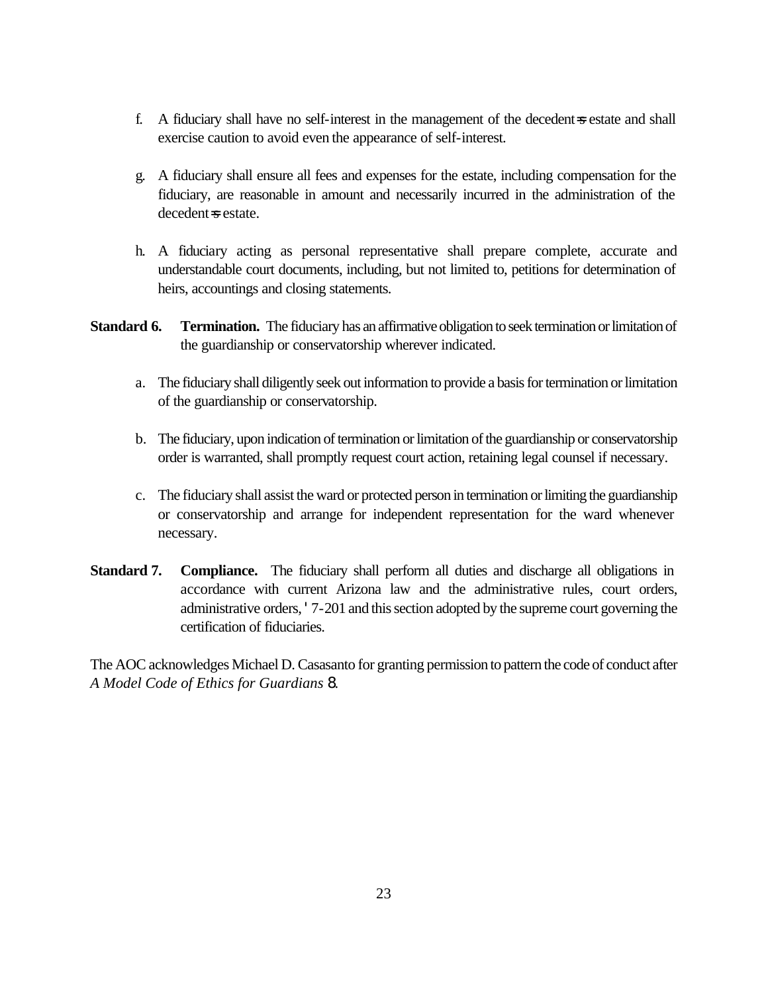- f. A fiduciary shall have no self-interest in the management of the decedent $\equiv$ s estate and shall exercise caution to avoid even the appearance of self-interest.
- g. A fiduciary shall ensure all fees and expenses for the estate, including compensation for the fiduciary, are reasonable in amount and necessarily incurred in the administration of the decedent=s estate.
- h. A fiduciary acting as personal representative shall prepare complete, accurate and understandable court documents, including, but not limited to, petitions for determination of heirs, accountings and closing statements.
- **Standard 6.** Termination. The fiduciary has an affirmative obligation to seek termination or limitation of the guardianship or conservatorship wherever indicated.
	- a. The fiduciary shall diligently seek out information to provide a basis for termination or limitation of the guardianship or conservatorship.
	- b. The fiduciary, upon indication of termination or limitation of the guardianship or conservatorship order is warranted, shall promptly request court action, retaining legal counsel if necessary.
	- c. The fiduciary shall assist the ward or protected person in termination or limiting the guardianship or conservatorship and arrange for independent representation for the ward whenever necessary.
- **Standard 7. Compliance.** The fiduciary shall perform all duties and discharge all obligations in accordance with current Arizona law and the administrative rules, court orders, administrative orders, '7-201 and this section adopted by the supreme court governing the certification of fiduciaries.

The AOC acknowledges Michael D. Casasanto for granting permission to pattern the code of conduct after *A Model Code of Ethics for Guardians* 8.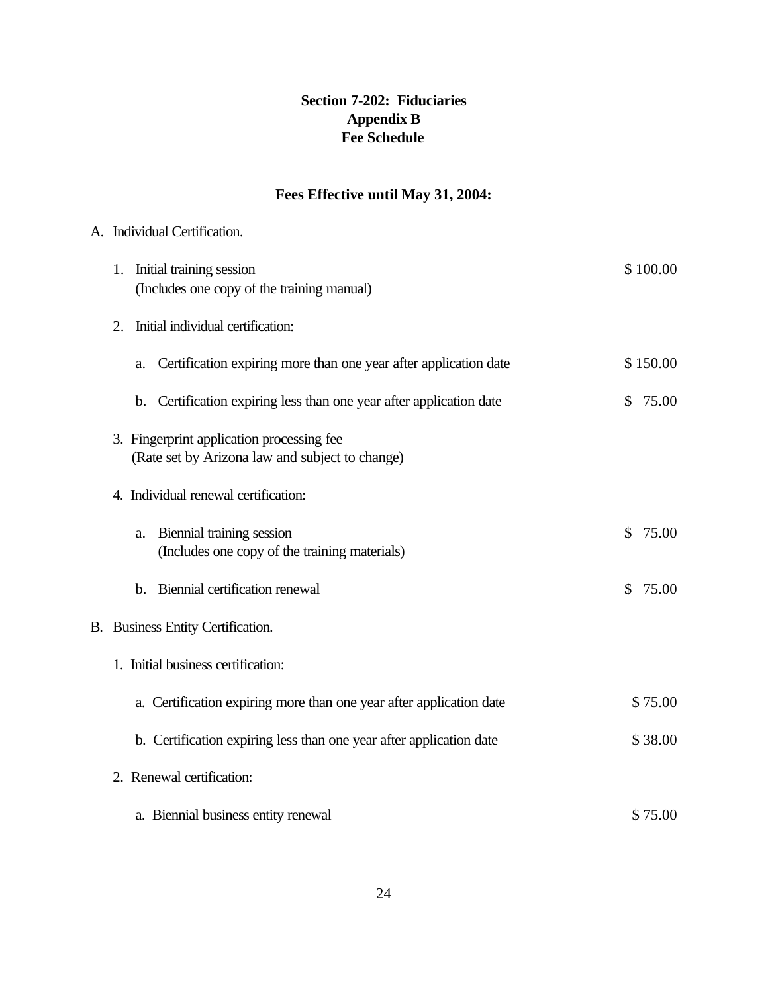# **Section 7-202: Fiduciaries Appendix B Fee Schedule**

# **Fees Effective until May 31, 2004:**

# A. Individual Certification.

| 1. Initial training session                                                                  | \$100.00              |
|----------------------------------------------------------------------------------------------|-----------------------|
| (Includes one copy of the training manual)                                                   |                       |
| Initial individual certification:<br>2.                                                      |                       |
| Certification expiring more than one year after application date<br>a.                       | \$150.00              |
| Certification expiring less than one year after application date<br>b.                       | $\mathbb{S}$<br>75.00 |
| 3. Fingerprint application processing fee<br>(Rate set by Arizona law and subject to change) |                       |
| 4. Individual renewal certification:                                                         |                       |
| Biennial training session<br>a.<br>(Includes one copy of the training materials)             | $\mathbb{S}$<br>75.00 |
| b. Biennial certification renewal                                                            | 75.00<br>\$           |
| B. Business Entity Certification.                                                            |                       |
| 1. Initial business certification:                                                           |                       |
| a. Certification expiring more than one year after application date                          | \$75.00               |
| b. Certification expiring less than one year after application date                          | \$38.00               |
| 2. Renewal certification:                                                                    |                       |
| a. Biennial business entity renewal                                                          | \$75.00               |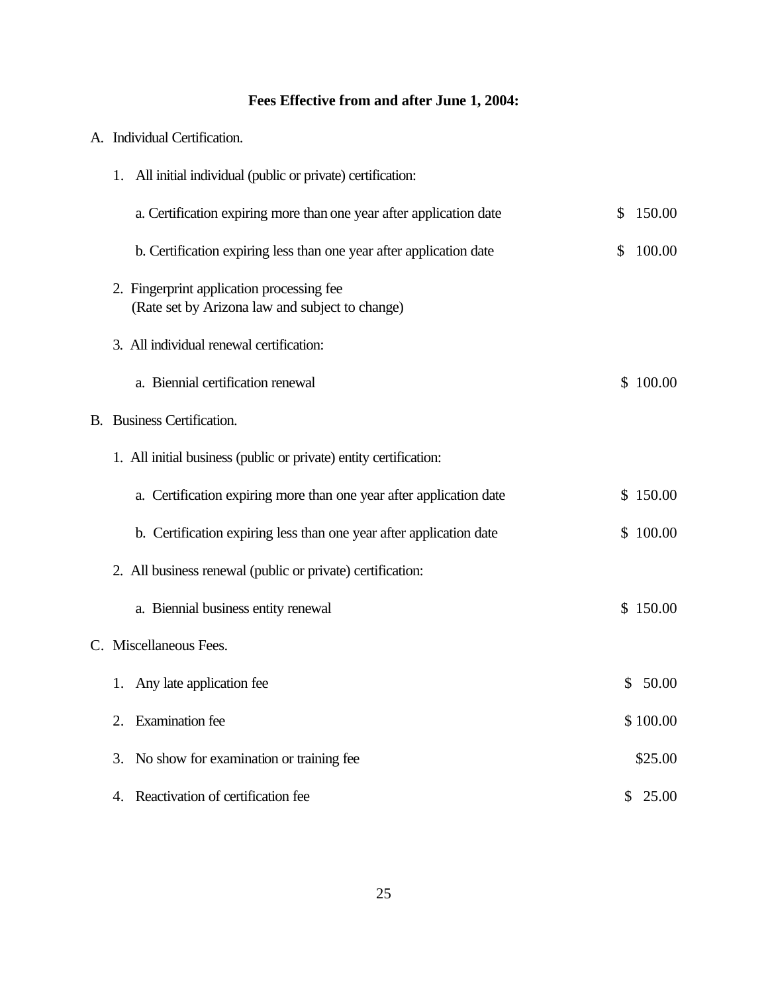# **Fees Effective from and after June 1, 2004:**

| A. . |  | Individual Certification. |
|------|--|---------------------------|
|------|--|---------------------------|

| 1. All initial individual (public or private) certification:                                 |              |          |
|----------------------------------------------------------------------------------------------|--------------|----------|
| a. Certification expiring more than one year after application date                          | $\mathbb{S}$ | 150.00   |
| b. Certification expiring less than one year after application date                          | \$.          | 100.00   |
| 2. Fingerprint application processing fee<br>(Rate set by Arizona law and subject to change) |              |          |
| 3. All individual renewal certification:                                                     |              |          |
| a. Biennial certification renewal                                                            |              | \$100.00 |
| <b>B.</b> Business Certification.                                                            |              |          |
| 1. All initial business (public or private) entity certification:                            |              |          |
| a. Certification expiring more than one year after application date                          |              | \$150.00 |
| b. Certification expiring less than one year after application date                          |              | \$100.00 |
| 2. All business renewal (public or private) certification:                                   |              |          |
| a. Biennial business entity renewal                                                          |              | \$150.00 |
| C. Miscellaneous Fees.                                                                       |              |          |
| Any late application fee<br>1.                                                               |              | \$50.00  |
| <b>Examination</b> fee<br>$2_{-}$                                                            |              | \$100.00 |
| No show for examination or training fee<br>3.                                                |              | \$25.00  |
| Reactivation of certification fee<br>4.                                                      |              | \$25.00  |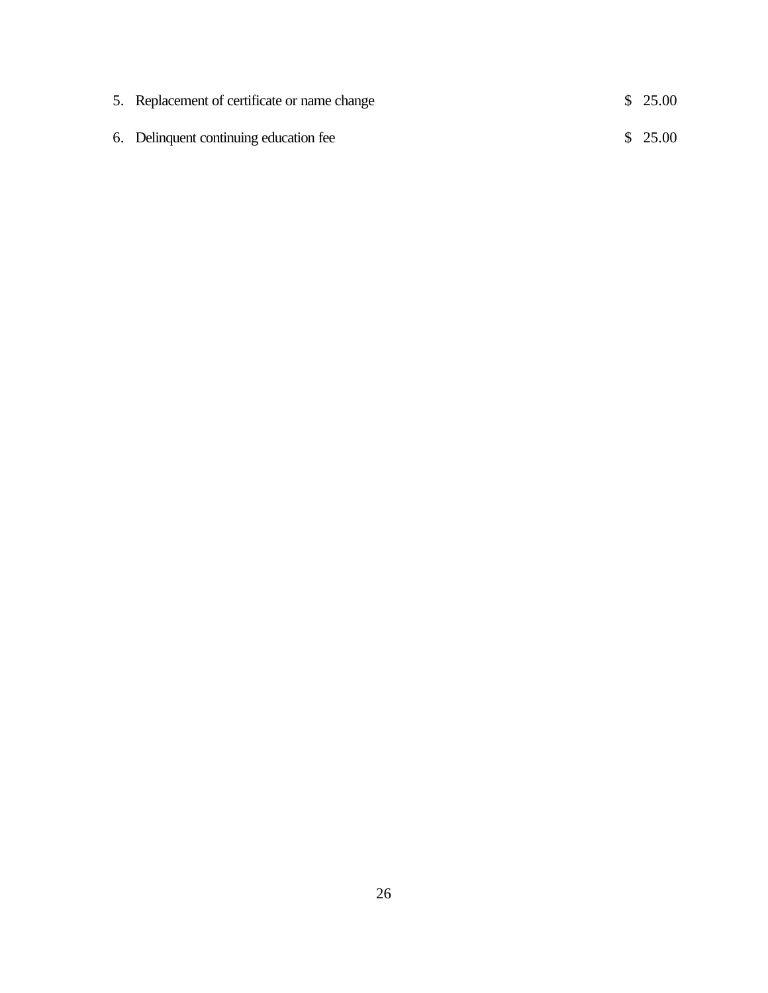| 5. Replacement of certificate or name change | \$25.00 |
|----------------------------------------------|---------|
| 6. Delinquent continuing education fee       | \$25.00 |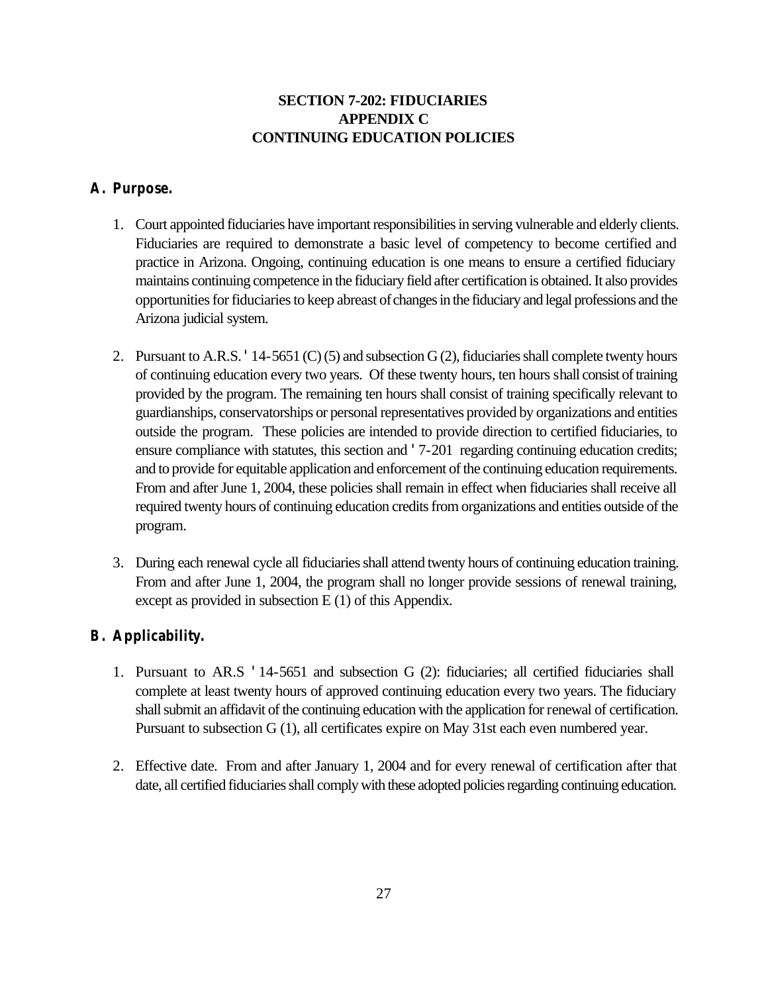# **SECTION 7-202: FIDUCIARIES APPENDIX C CONTINUING EDUCATION POLICIES**

### **A. Purpose.**

- 1. Court appointed fiduciaries have important responsibilities in serving vulnerable and elderly clients. Fiduciaries are required to demonstrate a basic level of competency to become certified and practice in Arizona. Ongoing, continuing education is one means to ensure a certified fiduciary maintains continuing competence in the fiduciary field after certification is obtained. It also provides opportunities for fiduciaries to keep abreast of changes in the fiduciary and legal professions and the Arizona judicial system.
- 2. Pursuant to A.R.S. '14-5651 (C) (5) and subsection G (2), fiduciaries shall complete twenty hours of continuing education every two years. Of these twenty hours, ten hours shall consist of training provided by the program. The remaining ten hours shall consist of training specifically relevant to guardianships, conservatorships or personal representatives provided by organizations and entities outside the program. These policies are intended to provide direction to certified fiduciaries, to ensure compliance with statutes, this section and '7-201 regarding continuing education credits; and to provide for equitable application and enforcement of the continuing education requirements. From and after June 1, 2004, these policies shall remain in effect when fiduciaries shall receive all required twenty hours of continuing education credits from organizations and entities outside of the program.
- 3. During each renewal cycle all fiduciaries shall attend twenty hours of continuing education training. From and after June 1, 2004, the program shall no longer provide sessions of renewal training, except as provided in subsection E (1) of this Appendix.

### **B. Applicability.**

- 1. Pursuant to AR.S '14-5651 and subsection G (2): fiduciaries; all certified fiduciaries shall complete at least twenty hours of approved continuing education every two years. The fiduciary shall submit an affidavit of the continuing education with the application for renewal of certification. Pursuant to subsection G (1), all certificates expire on May 31st each even numbered year.
- 2. Effective date. From and after January 1, 2004 and for every renewal of certification after that date, all certified fiduciaries shall comply with these adopted policies regarding continuing education.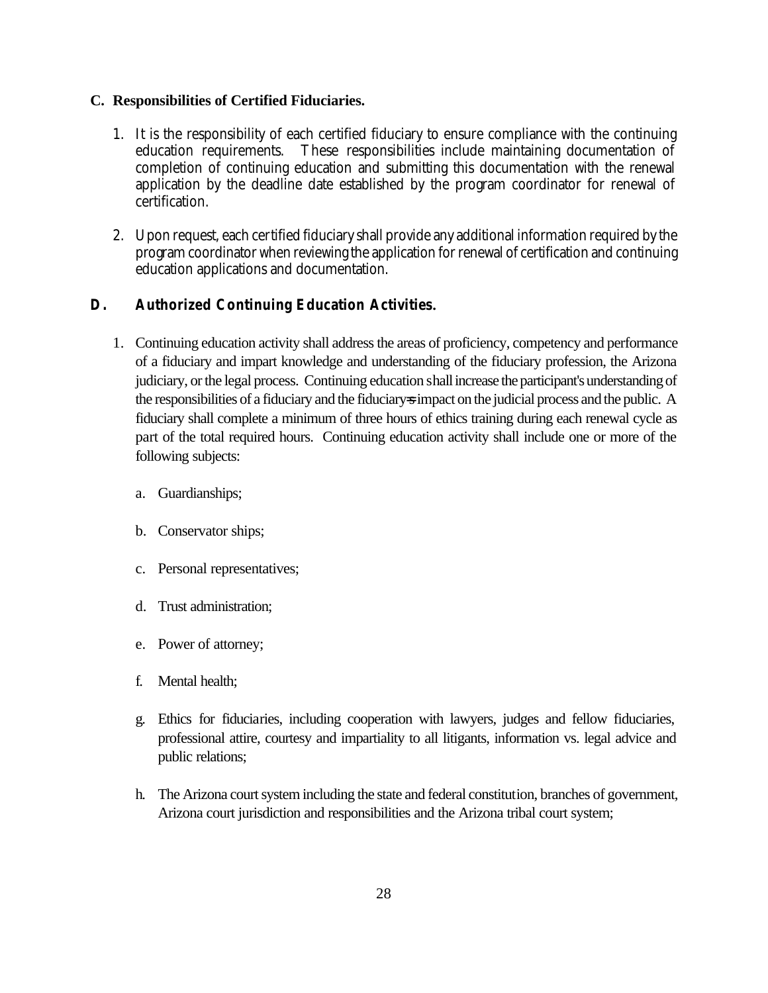#### **C. Responsibilities of Certified Fiduciaries.**

- 1. It is the responsibility of each certified fiduciary to ensure compliance with the continuing education requirements. These responsibilities include maintaining documentation of completion of continuing education and submitting this documentation with the renewal application by the deadline date established by the program coordinator for renewal of certification.
- 2. Upon request, each certified fiduciary shall provide any additional information required by the program coordinator when reviewing the application for renewal of certification and continuing education applications and documentation.

### **D. Authorized Continuing Education Activities.**

- 1. Continuing education activity shall address the areas of proficiency, competency and performance of a fiduciary and impart knowledge and understanding of the fiduciary profession, the Arizona judiciary, or the legal process. Continuing education shall increase the participant's understanding of the responsibilities of a fiduciary and the fiduciary=s impact on the judicial process and the public. A fiduciary shall complete a minimum of three hours of ethics training during each renewal cycle as part of the total required hours. Continuing education activity shall include one or more of the following subjects:
	- a. Guardianships;
	- b. Conservator ships;
	- c. Personal representatives;
	- d. Trust administration;
	- e. Power of attorney;
	- f. Mental health;
	- g. Ethics for fiduciaries, including cooperation with lawyers, judges and fellow fiduciaries, professional attire, courtesy and impartiality to all litigants, information vs. legal advice and public relations;
	- h. The Arizona court system including the state and federal constitution, branches of government, Arizona court jurisdiction and responsibilities and the Arizona tribal court system;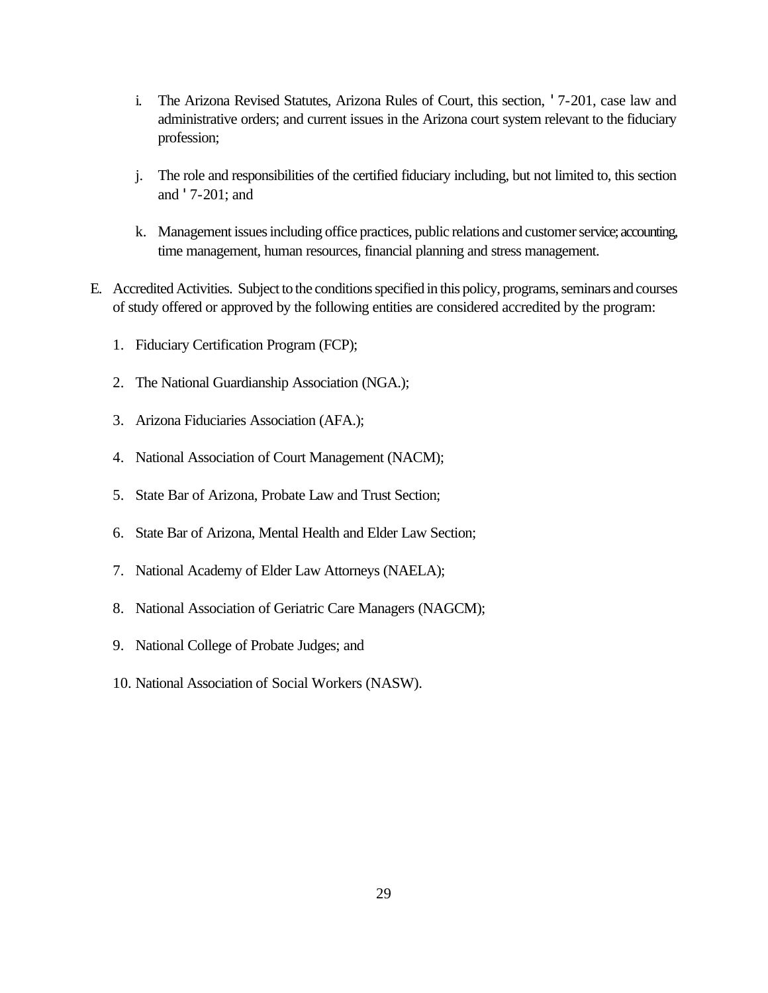- i. The Arizona Revised Statutes, Arizona Rules of Court, this section, '7-201, case law and administrative orders; and current issues in the Arizona court system relevant to the fiduciary profession;
- j. The role and responsibilities of the certified fiduciary including, but not limited to, this section and '7-201; and
- k. Management issues including office practices, public relations and customer service; accounting, time management, human resources, financial planning and stress management.
- E. Accredited Activities. Subject to the conditions specified in this policy, programs, seminars and courses of study offered or approved by the following entities are considered accredited by the program:
	- 1. Fiduciary Certification Program (FCP);
	- 2. The National Guardianship Association (NGA.);
	- 3. Arizona Fiduciaries Association (AFA.);
	- 4. National Association of Court Management (NACM);
	- 5. State Bar of Arizona, Probate Law and Trust Section;
	- 6. State Bar of Arizona, Mental Health and Elder Law Section;
	- 7. National Academy of Elder Law Attorneys (NAELA);
	- 8. National Association of Geriatric Care Managers (NAGCM);
	- 9. National College of Probate Judges; and
	- 10. National Association of Social Workers (NASW).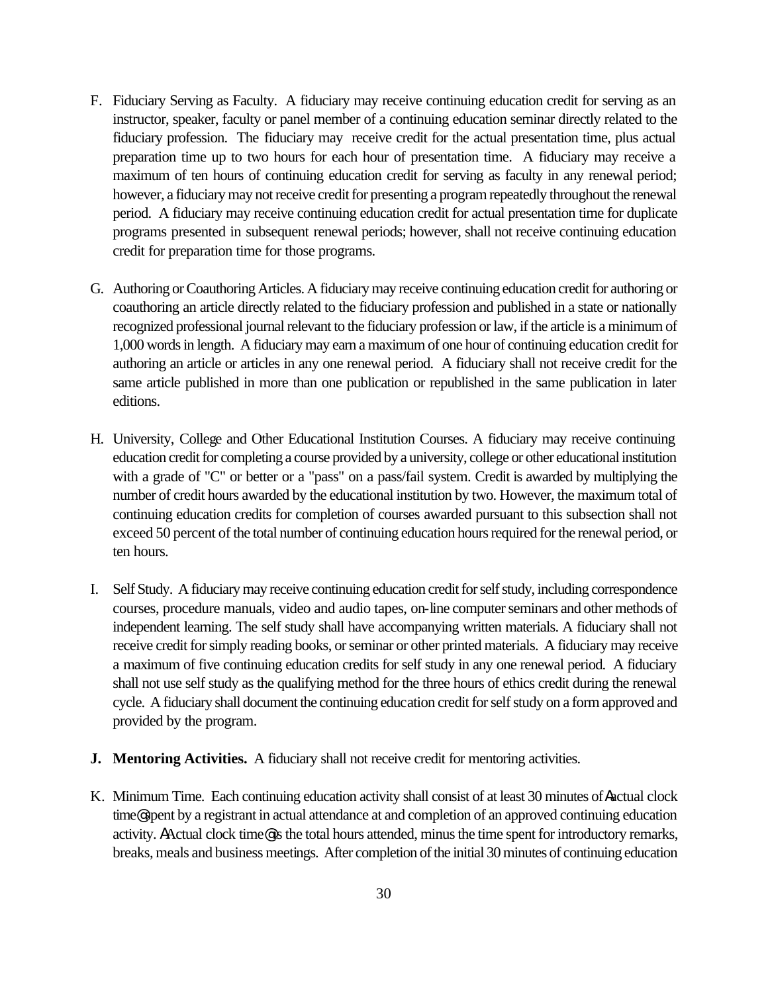- F. Fiduciary Serving as Faculty. A fiduciary may receive continuing education credit for serving as an instructor, speaker, faculty or panel member of a continuing education seminar directly related to the fiduciary profession. The fiduciary may receive credit for the actual presentation time, plus actual preparation time up to two hours for each hour of presentation time. A fiduciary may receive a maximum of ten hours of continuing education credit for serving as faculty in any renewal period; however, a fiduciary may not receive credit for presenting a program repeatedly throughout the renewal period. A fiduciary may receive continuing education credit for actual presentation time for duplicate programs presented in subsequent renewal periods; however, shall not receive continuing education credit for preparation time for those programs.
- G. Authoring or Coauthoring Articles. A fiduciary may receive continuing education credit for authoring or coauthoring an article directly related to the fiduciary profession and published in a state or nationally recognized professional journal relevant to the fiduciary profession or law, if the article is a minimum of 1,000 words in length. A fiduciary may earn a maximum of one hour of continuing education credit for authoring an article or articles in any one renewal period. A fiduciary shall not receive credit for the same article published in more than one publication or republished in the same publication in later editions.
- H. University, College and Other Educational Institution Courses. A fiduciary may receive continuing education credit for completing a course provided by a university, college or other educational institution with a grade of "C" or better or a "pass" on a pass/fail system. Credit is awarded by multiplying the number of credit hours awarded by the educational institution by two. However, the maximum total of continuing education credits for completion of courses awarded pursuant to this subsection shall not exceed 50 percent of the total number of continuing education hours required for the renewal period, or ten hours.
- I. Self Study. A fiduciary may receive continuing education credit for self study, including correspondence courses, procedure manuals, video and audio tapes, on-line computer seminars and other methods of independent learning. The self study shall have accompanying written materials. A fiduciary shall not receive credit for simply reading books, or seminar or other printed materials. A fiduciary may receive a maximum of five continuing education credits for self study in any one renewal period. A fiduciary shall not use self study as the qualifying method for the three hours of ethics credit during the renewal cycle. A fiduciary shall document the continuing education credit for self study on a form approved and provided by the program.
- **J. Mentoring Activities.** A fiduciary shall not receive credit for mentoring activities.
- K. Minimum Time. Each continuing education activity shall consist of at least 30 minutes of Aactual clock time@ spent by a registrant in actual attendance at and completion of an approved continuing education activity. AActual clock time@ is the total hours attended, minus the time spent for introductory remarks, breaks, meals and business meetings. After completion of the initial 30 minutes of continuing education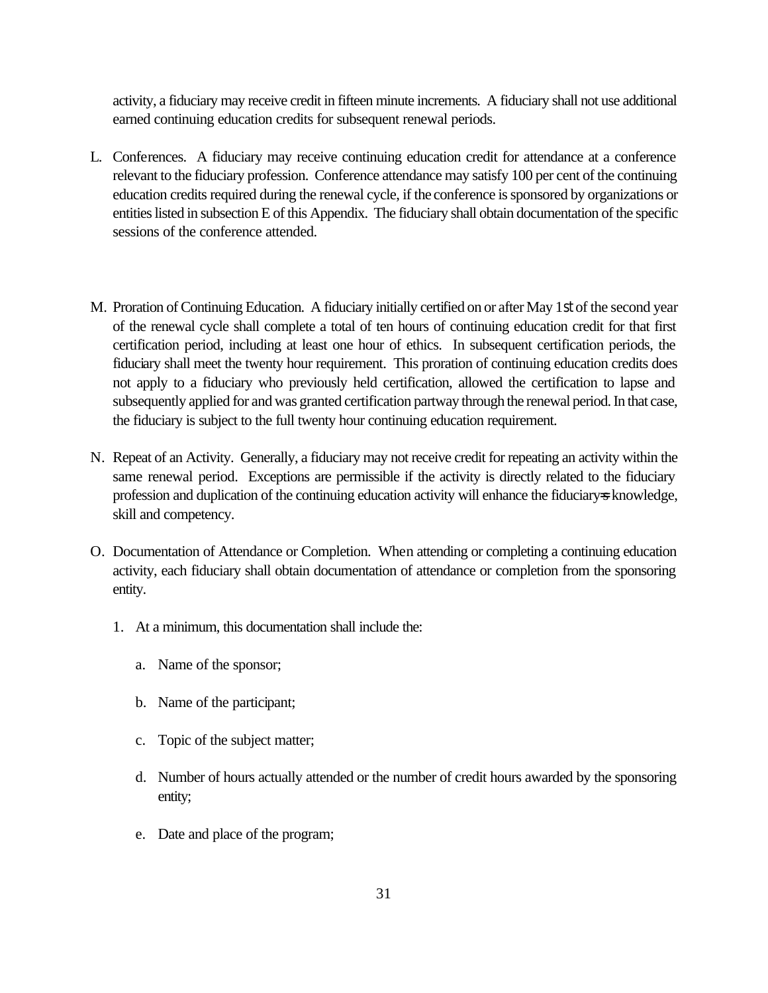activity, a fiduciary may receive credit in fifteen minute increments. A fiduciary shall not use additional earned continuing education credits for subsequent renewal periods.

- L. Conferences. A fiduciary may receive continuing education credit for attendance at a conference relevant to the fiduciary profession. Conference attendance may satisfy 100 per cent of the continuing education credits required during the renewal cycle, if the conference is sponsored by organizations or entities listed in subsection E of this Appendix. The fiduciary shall obtain documentation of the specific sessions of the conference attended.
- M. Proration of Continuing Education. A fiduciary initially certified on or after May 1st of the second year of the renewal cycle shall complete a total of ten hours of continuing education credit for that first certification period, including at least one hour of ethics. In subsequent certification periods, the fiduciary shall meet the twenty hour requirement. This proration of continuing education credits does not apply to a fiduciary who previously held certification, allowed the certification to lapse and subsequently applied for and was granted certification partway through the renewal period. In that case, the fiduciary is subject to the full twenty hour continuing education requirement.
- N. Repeat of an Activity. Generally, a fiduciary may not receive credit for repeating an activity within the same renewal period. Exceptions are permissible if the activity is directly related to the fiduciary profession and duplication of the continuing education activity will enhance the fiduciary=s knowledge, skill and competency.
- O. Documentation of Attendance or Completion. When attending or completing a continuing education activity, each fiduciary shall obtain documentation of attendance or completion from the sponsoring entity.
	- 1. At a minimum, this documentation shall include the:
		- a. Name of the sponsor;
		- b. Name of the participant;
		- c. Topic of the subject matter;
		- d. Number of hours actually attended or the number of credit hours awarded by the sponsoring entity;
		- e. Date and place of the program;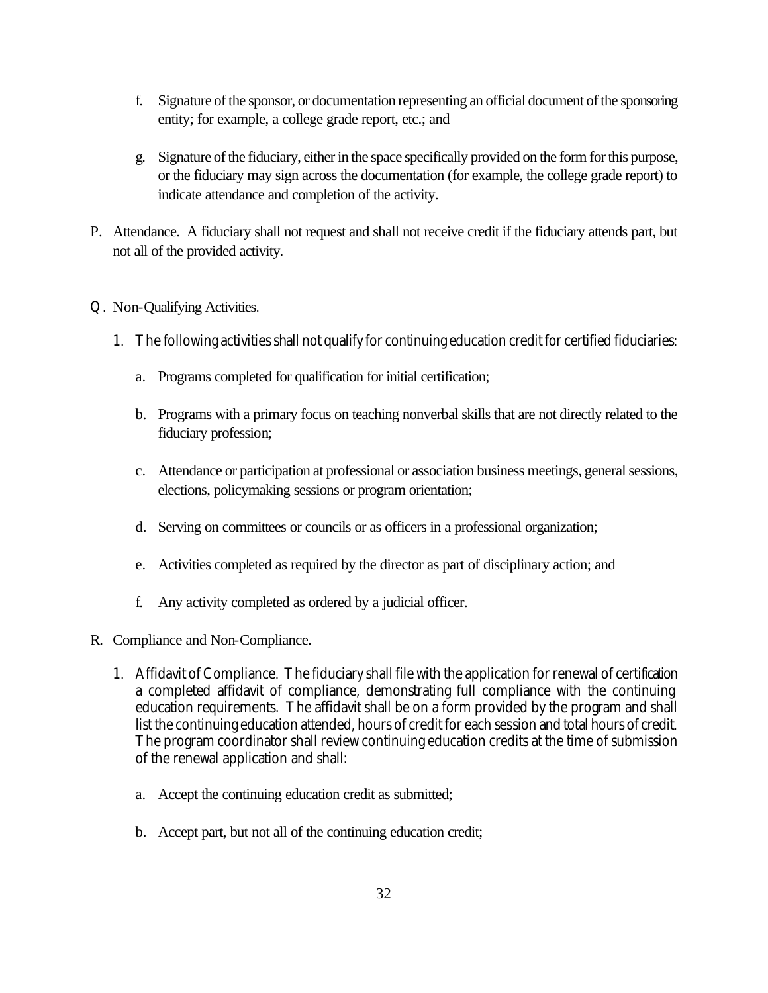- f. Signature of the sponsor, or documentation representing an official document of the sponsoring entity; for example, a college grade report, etc.; and
- g. Signature of the fiduciary, either in the space specifically provided on the form for this purpose, or the fiduciary may sign across the documentation (for example, the college grade report) to indicate attendance and completion of the activity.
- P. Attendance. A fiduciary shall not request and shall not receive credit if the fiduciary attends part, but not all of the provided activity.
- Q. Non-Qualifying Activities.
	- 1. The following activities shall not qualify for continuing education credit for certified fiduciaries:
		- a. Programs completed for qualification for initial certification;
		- b. Programs with a primary focus on teaching nonverbal skills that are not directly related to the fiduciary profession;
		- c. Attendance or participation at professional or association business meetings, general sessions, elections, policymaking sessions or program orientation;
		- d. Serving on committees or councils or as officers in a professional organization;
		- e. Activities completed as required by the director as part of disciplinary action; and
		- f. Any activity completed as ordered by a judicial officer.
- R. Compliance and Non-Compliance.
	- 1. Affidavit of Compliance. The fiduciary shall file with the application for renewal of certification a completed affidavit of compliance, demonstrating full compliance with the continuing education requirements. The affidavit shall be on a form provided by the program and shall list the continuing education attended, hours of credit for each session and total hours of credit. The program coordinator shall review continuing education credits at the time of submission of the renewal application and shall:
		- a. Accept the continuing education credit as submitted;
		- b. Accept part, but not all of the continuing education credit;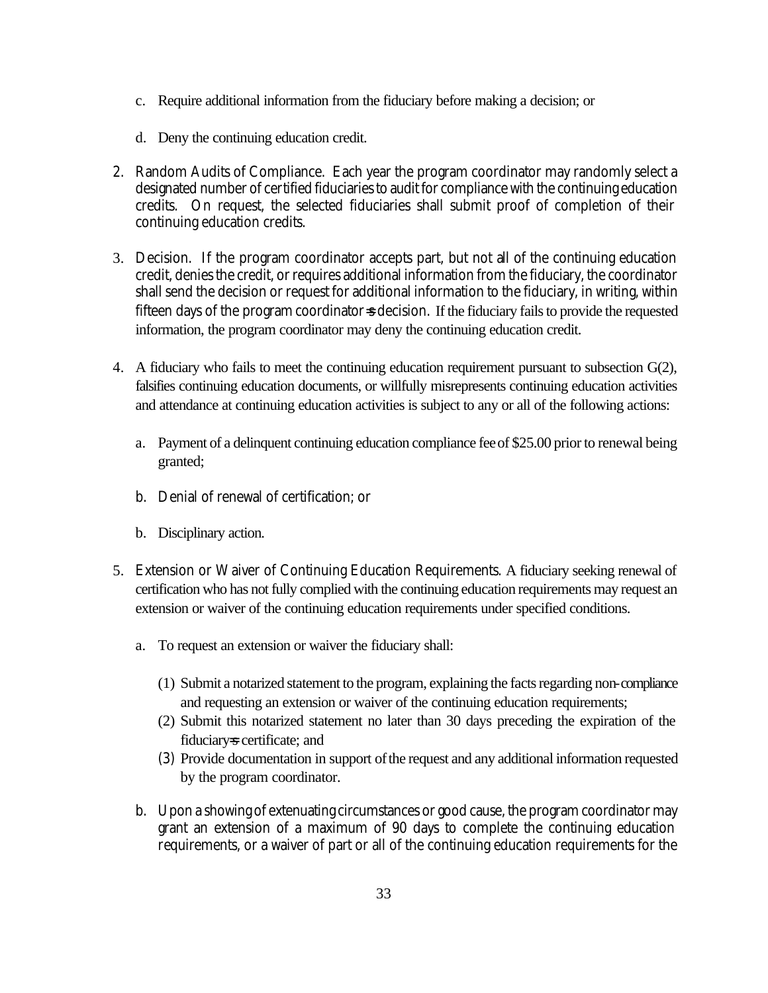- c. Require additional information from the fiduciary before making a decision; or
- d. Deny the continuing education credit.
- 2. Random Audits of Compliance. Each year the program coordinator may randomly select a designated number of certified fiduciaries to audit for compliance with the continuing education credits. On request, the selected fiduciaries shall submit proof of completion of their continuing education credits.
- 3. Decision. If the program coordinator accepts part, but not all of the continuing education credit, denies the credit, or requires additional information from the fiduciary, the coordinator shall send the decision or request for additional information to the fiduciary, in writing, within fifteen days of the program coordinator  $\approx$  decision. If the fiduciary fails to provide the requested information, the program coordinator may deny the continuing education credit.
- 4. A fiduciary who fails to meet the continuing education requirement pursuant to subsection  $G(2)$ , falsifies continuing education documents, or willfully misrepresents continuing education activities and attendance at continuing education activities is subject to any or all of the following actions:
	- a. Payment of a delinquent continuing education compliance fee of \$25.00 prior to renewal being granted;
	- b. Denial of renewal of certification; or
	- b. Disciplinary action.
- 5. Extension or Waiver of Continuing Education Requirements. A fiduciary seeking renewal of certification who has not fully complied with the continuing education requirements may request an extension or waiver of the continuing education requirements under specified conditions.
	- a. To request an extension or waiver the fiduciary shall:
		- (1) Submit a notarized statement to the program, explaining the facts regarding non-compliance and requesting an extension or waiver of the continuing education requirements;
		- (2) Submit this notarized statement no later than 30 days preceding the expiration of the fiduciary=s certificate; and
		- (3) Provide documentation in support of the request and any additional information requested by the program coordinator.
	- b. Upon a showing of extenuating circumstances or good cause, the program coordinator may grant an extension of a maximum of 90 days to complete the continuing education requirements, or a waiver of part or all of the continuing education requirements for the